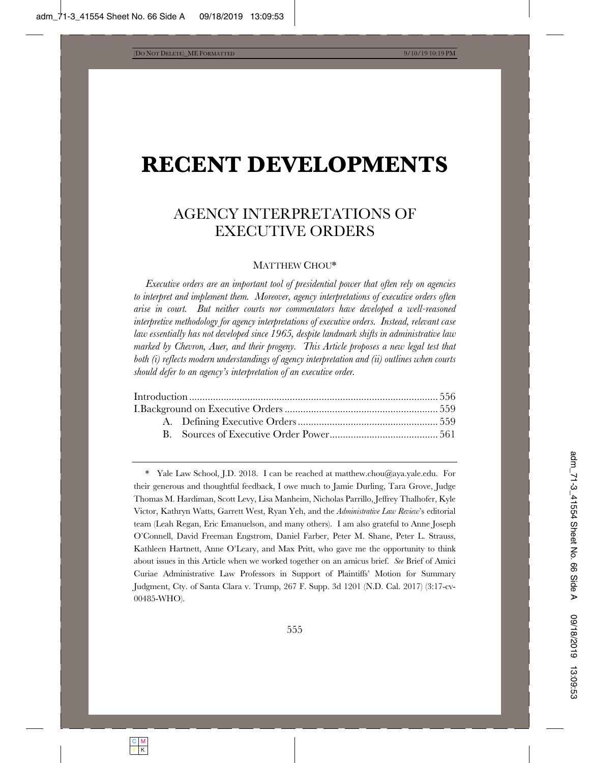# **RECENT DEVELOPMENTS**

# AGENCY INTERPRETATIONS OF EXECUTIVE ORDERS

# MATTHEW CHOU\*

*Executive orders are an important tool of presidential power that often rely on agencies to interpret and implement them. Moreover, agency interpretations of executive orders often arise in court. But neither courts nor commentators have developed a well-reasoned interpretive methodology for agency interpretations of executive orders. Instead, relevant case law essentially has not developed since 1965, despite landmark shifts in administrative law marked by Chevron, Auer, and their progeny. This Article proposes a new legal test that both (i) reflects modern understandings of agency interpretation and (ii) outlines when courts should defer to an agency's interpretation of an executive order.* 

\* Yale Law School, J.D. 2018. I can be reached at matthew.chou@aya.yale.edu. For their generous and thoughtful feedback, I owe much to Jamie Durling, Tara Grove, Judge Thomas M. Hardiman, Scott Levy, Lisa Manheim, Nicholas Parrillo, Jeffrey Thalhofer, Kyle Victor, Kathryn Watts, Garrett West, Ryan Yeh, and the *Administrative Law Review*'s editorial team (Leah Regan, Eric Emanuelson, and many others). I am also grateful to Anne Joseph O'Connell, David Freeman Engstrom, Daniel Farber, Peter M. Shane, Peter L. Strauss, Kathleen Hartnett, Anne O'Leary, and Max Pritt, who gave me the opportunity to think about issues in this Article when we worked together on an amicus brief. *See* Brief of Amici Curiae Administrative Law Professors in Support of Plaintiffs' Motion for Summary Judgment, Cty. of Santa Clara v. Trump, 267 F. Supp. 3d 1201 (N.D. Cal. 2017) (3:17-cv-00485-WHO).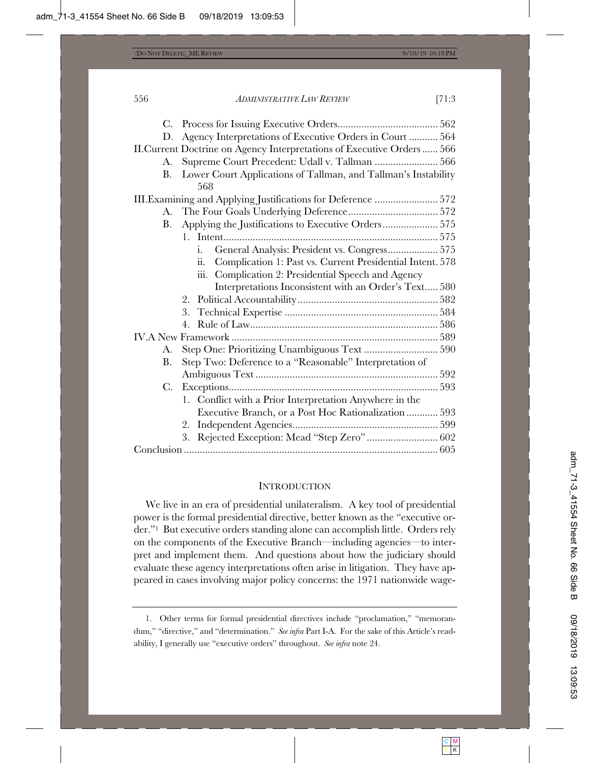| D.          | Agency Interpretations of Executive Orders in Court  564                |  |
|-------------|-------------------------------------------------------------------------|--|
|             | II. Current Doctrine on Agency Interpretations of Executive Orders  566 |  |
| A.          | Supreme Court Precedent: Udall v. Tallman  566                          |  |
| B.          | Lower Court Applications of Tallman, and Tallman's Instability          |  |
|             | 568                                                                     |  |
|             | III. Examining and Applying Justifications for Deference  572           |  |
| А.          |                                                                         |  |
| В.          | Applying the Justifications to Executive Orders 575                     |  |
|             |                                                                         |  |
|             | General Analysis: President vs. Congress 575<br>1.                      |  |
|             | ii.<br>Complication 1: Past vs. Current Presidential Intent. 578        |  |
|             | Complication 2: Presidential Speech and Agency<br>ш.                    |  |
|             | Interpretations Inconsistent with an Order's Text 580                   |  |
|             |                                                                         |  |
|             | 3.                                                                      |  |
|             |                                                                         |  |
|             |                                                                         |  |
| A.          |                                                                         |  |
| B.          | Step Two: Deference to a "Reasonable" Interpretation of                 |  |
|             |                                                                         |  |
| $C_{\cdot}$ |                                                                         |  |
|             | 1. Conflict with a Prior Interpretation Anywhere in the                 |  |
|             | Executive Branch, or a Post Hoc Rationalization  593                    |  |
|             | 2.                                                                      |  |
|             | 3.                                                                      |  |
|             |                                                                         |  |
|             |                                                                         |  |

#### **INTRODUCTION**

We live in an era of presidential unilateralism. A key tool of presidential power is the formal presidential directive, better known as the "executive order."1 But executive orders standing alone can accomplish little. Orders rely on the components of the Executive Branch—including agencies—to interpret and implement them. And questions about how the judiciary should evaluate these agency interpretations often arise in litigation. They have appeared in cases involving major policy concerns: the 1971 nationwide wage-

<sup>1.</sup> Other terms for formal presidential directives include "proclamation," "memorandum," "directive," and "determination." *See infra* Part I-A. For the sake of this Article's readability, I generally use "executive orders" throughout. *See infra* note 24.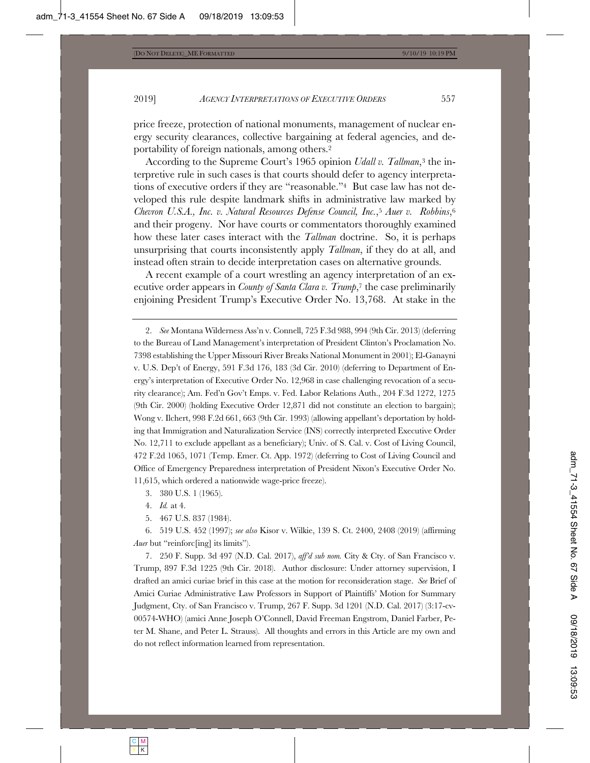price freeze, protection of national monuments, management of nuclear energy security clearances, collective bargaining at federal agencies, and deportability of foreign nationals, among others.2

According to the Supreme Court's 1965 opinion *Udall v. Tallman*,3 the interpretive rule in such cases is that courts should defer to agency interpretations of executive orders if they are "reasonable."4 But case law has not developed this rule despite landmark shifts in administrative law marked by *Chevron U.S.A., Inc. v. Natural Resources Defense Council, Inc.*,5 *Auer v. Robbins*,6 and their progeny. Nor have courts or commentators thoroughly examined how these later cases interact with the *Tallman* doctrine. So, it is perhaps unsurprising that courts inconsistently apply *Tallman*, if they do at all, and instead often strain to decide interpretation cases on alternative grounds.

A recent example of a court wrestling an agency interpretation of an executive order appears in *County of Santa Clara v. Trump*,7 the case preliminarily enjoining President Trump's Executive Order No. 13,768. At stake in the

2. *See* Montana Wilderness Ass'n v. Connell, 725 F.3d 988, 994 (9th Cir. 2013) (deferring to the Bureau of Land Management's interpretation of President Clinton's Proclamation No. 7398 establishing the Upper Missouri River Breaks National Monument in 2001); El-Ganayni v. U.S. Dep't of Energy, 591 F.3d 176, 183 (3d Cir. 2010) (deferring to Department of Energy's interpretation of Executive Order No. 12,968 in case challenging revocation of a security clearance); Am. Fed'n Gov't Emps. v. Fed. Labor Relations Auth., 204 F.3d 1272, 1275 (9th Cir. 2000) (holding Executive Order 12,871 did not constitute an election to bargain); Wong v. Ilchert, 998 F.2d 661, 663 (9th Cir. 1993) (allowing appellant's deportation by holding that Immigration and Naturalization Service (INS) correctly interpreted Executive Order No. 12,711 to exclude appellant as a beneficiary); Univ. of S. Cal. v. Cost of Living Council, 472 F.2d 1065, 1071 (Temp. Emer. Ct. App. 1972) (deferring to Cost of Living Council and Office of Emergency Preparedness interpretation of President Nixon's Executive Order No. 11,615, which ordered a nationwide wage-price freeze).

3. 380 U.S. 1 (1965).

4. *Id.* at 4.

5. 467 U.S. 837 (1984).

6. 519 U.S. 452 (1997); *see also* Kisor v. Wilkie, 139 S. Ct. 2400, 2408 (2019) (affirming *Auer* but "reinforc[ing] its limits").

7. 250 F. Supp. 3d 497 (N.D. Cal. 2017), *aff'd sub nom.* City & Cty. of San Francisco v. Trump, 897 F.3d 1225 (9th Cir. 2018). Author disclosure: Under attorney supervision, I drafted an amici curiae brief in this case at the motion for reconsideration stage. *See* Brief of Amici Curiae Administrative Law Professors in Support of Plaintiffs' Motion for Summary Judgment, Cty. of San Francisco v. Trump, 267 F. Supp. 3d 1201 (N.D. Cal. 2017) (3:17-cv-00574-WHO) (amici Anne Joseph O'Connell, David Freeman Engstrom, Daniel Farber, Peter M. Shane, and Peter L. Strauss). All thoughts and errors in this Article are my own and do not reflect information learned from representation.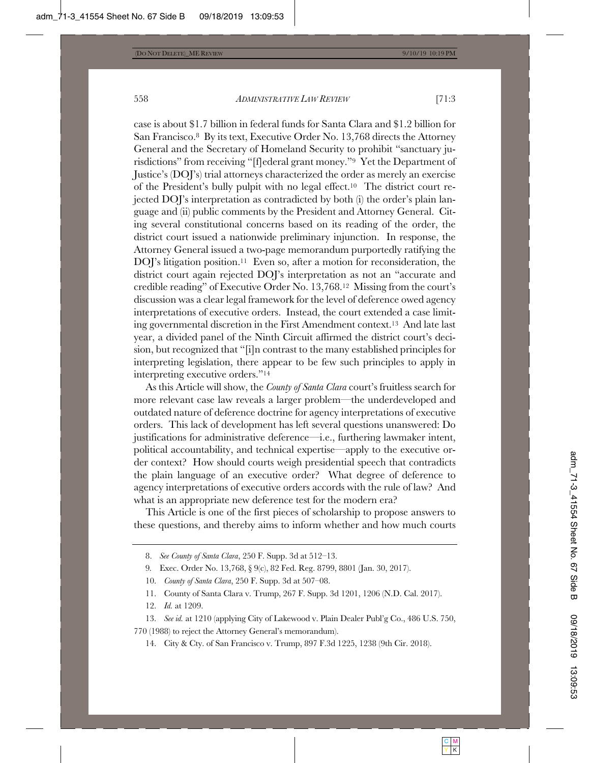case is about \$1.7 billion in federal funds for Santa Clara and \$1.2 billion for San Francisco.8 By its text, Executive Order No. 13,768 directs the Attorney General and the Secretary of Homeland Security to prohibit "sanctuary jurisdictions" from receiving "[f]ederal grant money."9 Yet the Department of Justice's (DOJ's) trial attorneys characterized the order as merely an exercise of the President's bully pulpit with no legal effect.10 The district court rejected DOJ's interpretation as contradicted by both (i) the order's plain language and (ii) public comments by the President and Attorney General. Citing several constitutional concerns based on its reading of the order, the district court issued a nationwide preliminary injunction. In response, the Attorney General issued a two-page memorandum purportedly ratifying the DOJ's litigation position.<sup>11</sup> Even so, after a motion for reconsideration, the district court again rejected DOJ's interpretation as not an "accurate and credible reading" of Executive Order No. 13,768.12 Missing from the court's discussion was a clear legal framework for the level of deference owed agency interpretations of executive orders. Instead, the court extended a case limiting governmental discretion in the First Amendment context.13 And late last year, a divided panel of the Ninth Circuit affirmed the district court's decision, but recognized that "[i]n contrast to the many established principles for interpreting legislation, there appear to be few such principles to apply in interpreting executive orders."14

As this Article will show, the *County of Santa Clara* court's fruitless search for more relevant case law reveals a larger problem—the underdeveloped and outdated nature of deference doctrine for agency interpretations of executive orders. This lack of development has left several questions unanswered: Do justifications for administrative deference—i.e., furthering lawmaker intent, political accountability, and technical expertise—apply to the executive order context? How should courts weigh presidential speech that contradicts the plain language of an executive order? What degree of deference to agency interpretations of executive orders accords with the rule of law? And what is an appropriate new deference test for the modern era?

This Article is one of the first pieces of scholarship to propose answers to these questions, and thereby aims to inform whether and how much courts

9*.* Exec. Order No. 13,768, § 9(c), 82 Fed. Reg. 8799, 8801 (Jan. 30, 2017).

- 11. County of Santa Clara v. Trump, 267 F. Supp. 3d 1201, 1206 (N.D. Cal. 2017).
- 12. *Id.* at 1209.

13. *See id.* at 1210 (applying City of Lakewood v. Plain Dealer Publ'g Co., 486 U.S. 750, 770 (1988) to reject the Attorney General's memorandum).

14. City & Cty. of San Francisco v. Trump, 897 F.3d 1225, 1238 (9th Cir. 2018).

<sup>8.</sup> *See County of Santa Clara*, 250 F. Supp. 3d at 512–13.

<sup>10.</sup> *County of Santa Clara*, 250 F. Supp. 3d at 507–08.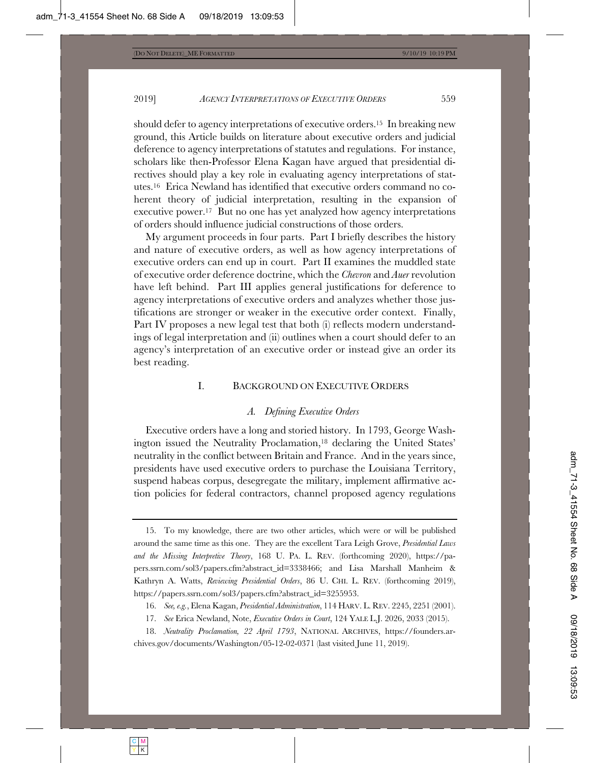should defer to agency interpretations of executive orders.15 In breaking new ground, this Article builds on literature about executive orders and judicial deference to agency interpretations of statutes and regulations. For instance, scholars like then-Professor Elena Kagan have argued that presidential directives should play a key role in evaluating agency interpretations of statutes.16 Erica Newland has identified that executive orders command no coherent theory of judicial interpretation, resulting in the expansion of executive power.17 But no one has yet analyzed how agency interpretations of orders should influence judicial constructions of those orders.

My argument proceeds in four parts. Part I briefly describes the history and nature of executive orders, as well as how agency interpretations of executive orders can end up in court. Part II examines the muddled state of executive order deference doctrine, which the *Chevron* and *Auer* revolution have left behind. Part III applies general justifications for deference to agency interpretations of executive orders and analyzes whether those justifications are stronger or weaker in the executive order context. Finally, Part IV proposes a new legal test that both (i) reflects modern understandings of legal interpretation and (ii) outlines when a court should defer to an agency's interpretation of an executive order or instead give an order its best reading.

# I. BACKGROUND ON EXECUTIVE ORDERS

#### *A. Defining Executive Orders*

Executive orders have a long and storied history. In 1793, George Washington issued the Neutrality Proclamation,18 declaring the United States' neutrality in the conflict between Britain and France. And in the years since, presidents have used executive orders to purchase the Louisiana Territory, suspend habeas corpus, desegregate the military, implement affirmative action policies for federal contractors, channel proposed agency regulations

<sup>15.</sup> To my knowledge, there are two other articles, which were or will be published around the same time as this one. They are the excellent Tara Leigh Grove, *Presidential Laws and the Missing Interpretive Theory*, 168 U. PA. L. REV. (forthcoming 2020), https://papers.ssrn.com/sol3/papers.cfm?abstract\_id=3338466; and Lisa Marshall Manheim & Kathryn A. Watts, *Reviewing Presidential Orders*, 86 U. CHI. L. REV. (forthcoming 2019), https://papers.ssrn.com/sol3/papers.cfm?abstract\_id=3255953.

<sup>16.</sup> *See, e.g.*, Elena Kagan, *Presidential Administration*, 114 HARV. L. REV. 2245, 2251 (2001).

<sup>17.</sup> *See* Erica Newland, Note, *Executive Orders in Court*, 124 YALE L.J. 2026, 2033 (2015).

<sup>18.</sup> *Neutrality Proclamation, 22 April 1793*, NATIONAL ARCHIVES, https://founders.archives.gov/documents/Washington/05-12-02-0371 (last visited June 11, 2019).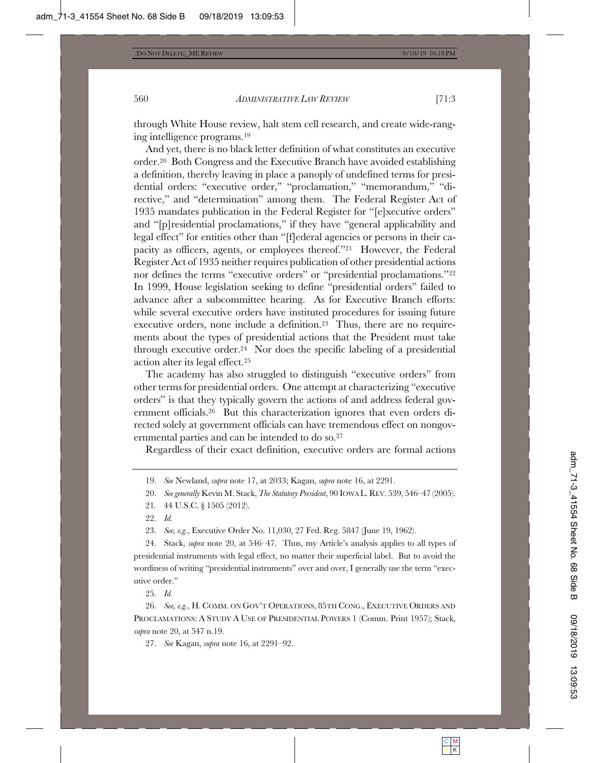through White House review, halt stem cell research, and create wide-ranging intelligence programs.19

And yet, there is no black letter definition of what constitutes an executive order.20 Both Congress and the Executive Branch have avoided establishing a definition, thereby leaving in place a panoply of undefined terms for presidential orders: "executive order," "proclamation," "memorandum," "directive," and "determination" among them. The Federal Register Act of 1935 mandates publication in the Federal Register for "[e]xecutive orders" and "[p]residential proclamations," if they have "general applicability and legal effect" for entities other than "[f]ederal agencies or persons in their capacity as officers, agents, or employees thereof."21 However, the Federal Register Act of 1935 neither requires publication of other presidential actions nor defines the terms "executive orders" or "presidential proclamations."22 In 1999, House legislation seeking to define "presidential orders" failed to advance after a subcommittee hearing. As for Executive Branch efforts: while several executive orders have instituted procedures for issuing future executive orders, none include a definition.23 Thus, there are no requirements about the types of presidential actions that the President must take through executive order.24 Nor does the specific labeling of a presidential action alter its legal effect.25

The academy has also struggled to distinguish "executive orders" from other terms for presidential orders. One attempt at characterizing "executive orders" is that they typically govern the actions of and address federal government officials.26 But this characterization ignores that even orders directed solely at government officials can have tremendous effect on nongovernmental parties and can be intended to do so.27

Regardless of their exact definition, executive orders are formal actions

20. *See generally* Kevin M. Stack, *The Statutory President*, 90 IOWA L. REV. 539, 546–47 (2005).

23. *See, e.g.*, Executive Order No. 11,030, 27 Fed. Reg. 5847 (June 19, 1962).

24. Stack, *supra* note 20, at 546–47. Thus, my Article's analysis applies to all types of presidential instruments with legal effect, no matter their superficial label. But to avoid the wordiness of writing "presidential instruments" over and over, I generally use the term "executive order."

25. *Id.*

26. *See, e.g.*, H. COMM. ON GOV'T OPERATIONS, 85TH CONG., EXECUTIVE ORDERS AND PROCLAMATIONS:ASTUDY A USE OF PRESIDENTIAL POWERS 1 (Comm. Print 1957); Stack, *supra* note 20, at 547 n.19.

27. *See* Kagan, *supra* note 16, at 2291–92.

<sup>19.</sup> *See* Newland, *supra* note 17, at 2033; Kagan, *supra* note 16, at 2291.

<sup>21</sup>*.* 44 U.S.C. § 1505 (2012).

<sup>22.</sup> *Id.*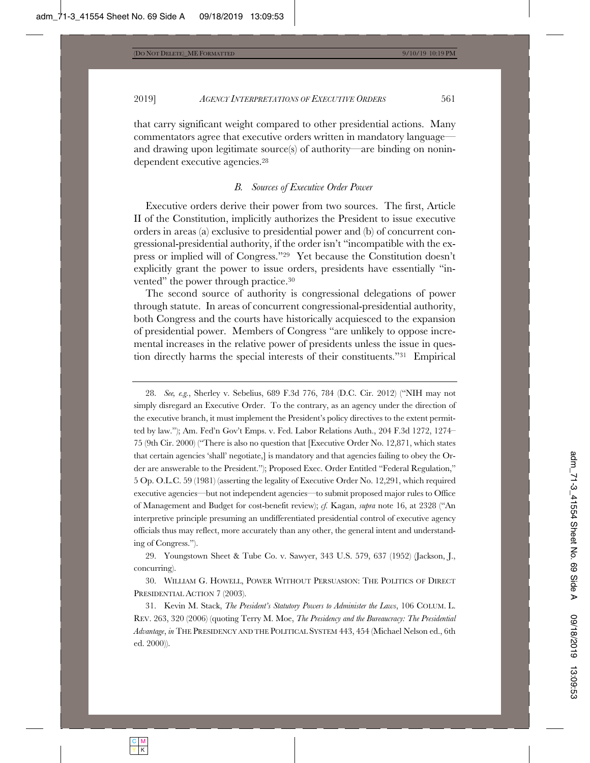that carry significant weight compared to other presidential actions. Many commentators agree that executive orders written in mandatory language and drawing upon legitimate source(s) of authority—are binding on nonindependent executive agencies.<sup>28</sup>

#### *B. Sources of Executive Order Power*

Executive orders derive their power from two sources. The first, Article II of the Constitution, implicitly authorizes the President to issue executive orders in areas (a) exclusive to presidential power and (b) of concurrent congressional-presidential authority, if the order isn't "incompatible with the express or implied will of Congress."29 Yet because the Constitution doesn't explicitly grant the power to issue orders, presidents have essentially "invented" the power through practice.30

The second source of authority is congressional delegations of power through statute. In areas of concurrent congressional-presidential authority, both Congress and the courts have historically acquiesced to the expansion of presidential power. Members of Congress "are unlikely to oppose incremental increases in the relative power of presidents unless the issue in question directly harms the special interests of their constituents."31 Empirical

28. *See, e.g.*, Sherley v. Sebelius, 689 F.3d 776, 784 (D.C. Cir. 2012) ("NIH may not simply disregard an Executive Order. To the contrary, as an agency under the direction of the executive branch, it must implement the President's policy directives to the extent permitted by law."); Am. Fed'n Gov't Emps. v. Fed. Labor Relations Auth., 204 F.3d 1272, 1274– 75 (9th Cir. 2000) ("There is also no question that [Executive Order No. 12,871, which states that certain agencies 'shall' negotiate,] is mandatory and that agencies failing to obey the Order are answerable to the President."); Proposed Exec. Order Entitled "Federal Regulation," 5 Op. O.L.C. 59 (1981) (asserting the legality of Executive Order No. 12,291, which required executive agencies—but not independent agencies—to submit proposed major rules to Office of Management and Budget for cost-benefit review); *cf.* Kagan, *supra* note 16, at 2328 ("An interpretive principle presuming an undifferentiated presidential control of executive agency officials thus may reflect, more accurately than any other, the general intent and understanding of Congress.").

29. Youngstown Sheet & Tube Co. v. Sawyer, 343 U.S. 579, 637 (1952) (Jackson, J., concurring).

30. WILLIAM G. HOWELL, POWER WITHOUT PERSUASION: THE POLITICS OF DIRECT PRESIDENTIAL ACTION 7 (2003).

<sup>31.</sup> Kevin M. Stack, *The President's Statutory Powers to Administer the Laws*, 106 COLUM. L. REV. 263, 320 (2006) (quoting Terry M. Moe, *The Presidency and the Bureaucracy: The Presidential Advantage*, *in* THE PRESIDENCY AND THE POLITICAL SYSTEM 443, 454 (Michael Nelson ed., 6th ed. 2000)).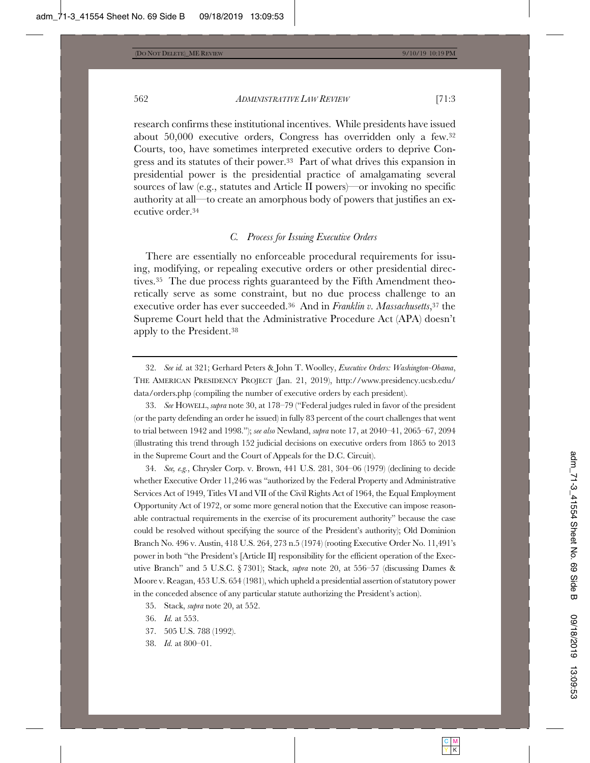research confirms these institutional incentives. While presidents have issued about 50,000 executive orders, Congress has overridden only a few.32 Courts, too, have sometimes interpreted executive orders to deprive Congress and its statutes of their power.33 Part of what drives this expansion in presidential power is the presidential practice of amalgamating several sources of law (e.g., statutes and Article II powers)—or invoking no specific authority at all—to create an amorphous body of powers that justifies an executive order.34

# *C. Process for Issuing Executive Orders*

There are essentially no enforceable procedural requirements for issuing, modifying, or repealing executive orders or other presidential directives.35 The due process rights guaranteed by the Fifth Amendment theoretically serve as some constraint, but no due process challenge to an executive order has ever succeeded.36 And in *Franklin v. Massachusetts*,37 the Supreme Court held that the Administrative Procedure Act (APA) doesn't apply to the President.38

33. *See* HOWELL, *supra* note 30, at 178–79 ("Federal judges ruled in favor of the president (or the party defending an order he issued) in fully 83 percent of the court challenges that went to trial between 1942 and 1998."); *see also* Newland, *supra* note 17, at 2040–41, 2065–67, 2094 (illustrating this trend through 152 judicial decisions on executive orders from 1865 to 2013 in the Supreme Court and the Court of Appeals for the D.C. Circuit).

34. *See, e.g.*, Chrysler Corp. v. Brown, 441 U.S. 281, 304–06 (1979) (declining to decide whether Executive Order 11,246 was "authorized by the Federal Property and Administrative Services Act of 1949, Titles VI and VII of the Civil Rights Act of 1964, the Equal Employment Opportunity Act of 1972, or some more general notion that the Executive can impose reasonable contractual requirements in the exercise of its procurement authority" because the case could be resolved without specifying the source of the President's authority); Old Dominion Branch No. 496 v. Austin, 418 U.S. 264, 273 n.5 (1974) (rooting Executive Order No. 11,491's power in both "the President's [Article II] responsibility for the efficient operation of the Executive Branch" and 5 U.S.C. § 7301); Stack, *supra* note 20, at 556–57 (discussing Dames & Moore v. Reagan, 453 U.S. 654 (1981), which upheld a presidential assertion of statutory power in the conceded absence of any particular statute authorizing the President's action).

35. Stack, *supra* note 20, at 552.

- 37. 505 U.S. 788 (1992).
- 38. *Id.* at 800–01.

<sup>32.</sup> *See id.* at 321; Gerhard Peters & John T. Woolley, *Executive Orders: Washington-Obama*, THE AMERICAN PRESIDENCY PROJECT (Jan. 21, 2019), http://www.presidency.ucsb.edu/ data/orders.php (compiling the number of executive orders by each president).

<sup>36.</sup> *Id.* at 553.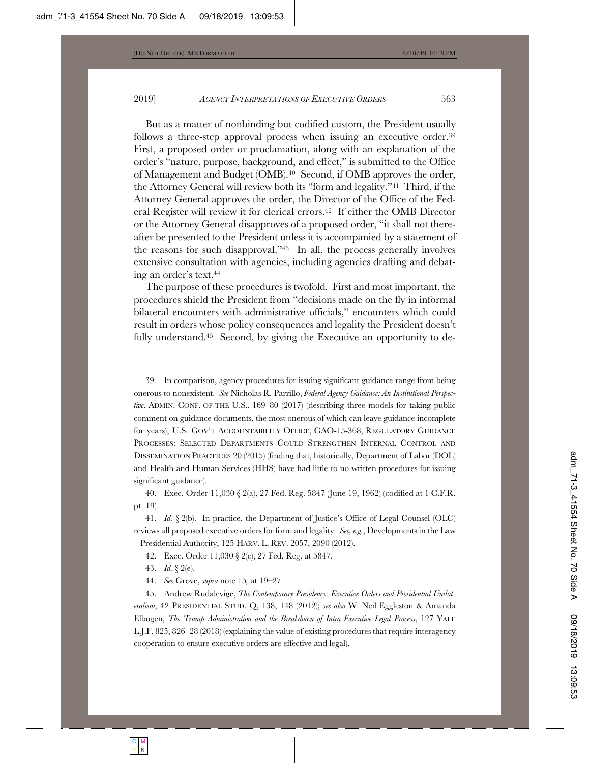But as a matter of nonbinding but codified custom, the President usually follows a three-step approval process when issuing an executive order.39 First, a proposed order or proclamation, along with an explanation of the order's "nature, purpose, background, and effect," is submitted to the Office of Management and Budget (OMB).40 Second, if OMB approves the order, the Attorney General will review both its "form and legality."41 Third, if the Attorney General approves the order, the Director of the Office of the Federal Register will review it for clerical errors.42 If either the OMB Director or the Attorney General disapproves of a proposed order, "it shall not thereafter be presented to the President unless it is accompanied by a statement of the reasons for such disapproval."43 In all, the process generally involves extensive consultation with agencies, including agencies drafting and debating an order's text.44

The purpose of these procedures is twofold. First and most important, the procedures shield the President from "decisions made on the fly in informal bilateral encounters with administrative officials," encounters which could result in orders whose policy consequences and legality the President doesn't fully understand.<sup>45</sup> Second, by giving the Executive an opportunity to de-

39. In comparison, agency procedures for issuing significant guidance range from being onerous to nonexistent. *See* Nicholas R. Parrillo, *Federal Agency Guidance: An Institutional Perspective*, ADMIN. CONF. OF THE U.S., 169–80 (2017) (describing three models for taking public comment on guidance documents, the most onerous of which can leave guidance incomplete for years); U.S. GOV'T ACCOUNTABILITY OFFICE, GAO-15-368, REGULATORY GUIDANCE PROCESSES: SELECTED DEPARTMENTS COULD STRENGTHEN INTERNAL CONTROL AND DISSEMINATION PRACTICES 20 (2015) (finding that, historically, Department of Labor (DOL) and Health and Human Services (HHS) have had little to no written procedures for issuing significant guidance).

40. Exec. Order 11,030 § 2(a), 27 Fed. Reg. 5847 (June 19, 1962) (codified at 1 C.F.R. pt. 19).

41. *Id.* § 2(b). In practice, the Department of Justice's Office of Legal Counsel (OLC) reviews all proposed executive orders for form and legality. *See, e.g.*, Developments in the Law – Presidential Authority, 125 HARV. L. REV. 2057, 2090 (2012).

42. Exec. Order 11,030 § 2(c), 27 Fed. Reg. at 5847.

43. *Id.* § 2(e).

44. *See* Grove, *supra* note 15*,* at 19–27.

45. Andrew Rudalevige, *The Contemporary Presidency: Executive Orders and Presidential Unilateralism*, 42 PRESIDENTIAL STUD. Q. 138, 148 (2012); *see also* W. Neil Eggleston & Amanda Elbogen, *The Trump Administration and the Breakdown of Intra-Executive Legal Process*, 127 YALE L.J.F. 825, 826–28 (2018) (explaining the value of existing procedures that require interagency cooperation to ensure executive orders are effective and legal).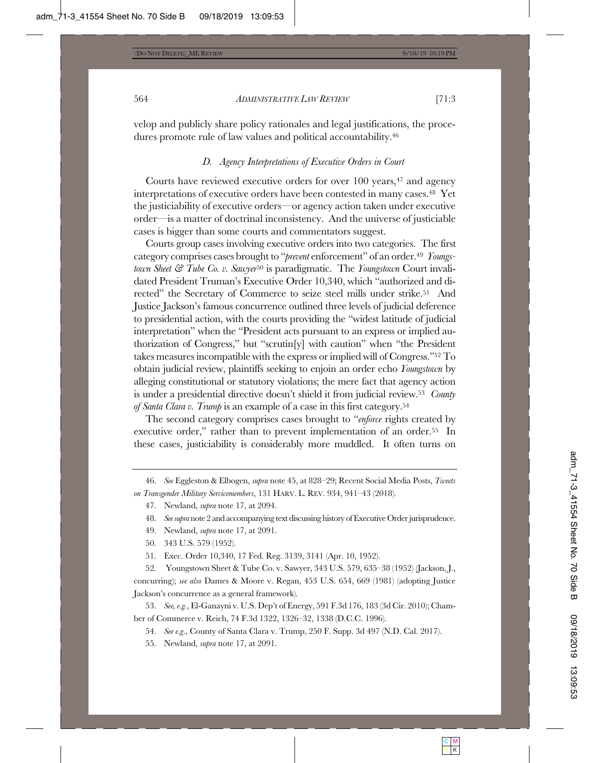velop and publicly share policy rationales and legal justifications, the procedures promote rule of law values and political accountability.46

#### *D. Agency Interpretations of Executive Orders in Court*

Courts have reviewed executive orders for over 100 years,47 and agency interpretations of executive orders have been contested in many cases.48 Yet the justiciability of executive orders—or agency action taken under executive order—is a matter of doctrinal inconsistency. And the universe of justiciable cases is bigger than some courts and commentators suggest.

Courts group cases involving executive orders into two categories. The first category comprises cases brought to "*prevent* enforcement" of an order.49 *Youngstown Sheet & Tube Co. v. Sawyer*50 is paradigmatic. The *Youngstown* Court invalidated President Truman's Executive Order 10,340, which "authorized and directed" the Secretary of Commerce to seize steel mills under strike.<sup>51</sup> And Justice Jackson's famous concurrence outlined three levels of judicial deference to presidential action, with the courts providing the "widest latitude of judicial interpretation" when the "President acts pursuant to an express or implied authorization of Congress," but "scrutin[y] with caution" when "the President takes measures incompatible with the express or implied will of Congress."52 To obtain judicial review, plaintiffs seeking to enjoin an order echo *Youngstown* by alleging constitutional or statutory violations; the mere fact that agency action is under a presidential directive doesn't shield it from judicial review.53 *County of Santa Clara v. Trump* is an example of a case in this first category.54

The second category comprises cases brought to "*enforce* rights created by executive order," rather than to prevent implementation of an order.<sup>55</sup> In these cases, justiciability is considerably more muddled. It often turns on

46. *See* Eggleston & Elbogen, *supra* note 45, at 828–29; Recent Social Media Posts, *Tweets on Transgender Military Servicemembers*, 131 HARV. L. REV. 934, 941–43 (2018).

48. *See supra* note 2 and accompanying text discussing history of Executive Order jurisprudence.

- 49. Newland, *supra* note 17, at 2091.
- 50. 343 U.S. 579 (1952).

51. Exec. Order 10,340, 17 Fed. Reg. 3139, 3141 (Apr. 10, 1952).

52*.* Youngstown Sheet & Tube Co. v. Sawyer, 343 U.S. 579, 635–38 (1952) (Jackson, J., concurring); *see also* Dames & Moore v. Regan, 453 U.S. 654, 669 (1981) (adopting Justice Jackson's concurrence as a general framework).

53. *See, e.g.*, El-Ganayni v. U.S. Dep't of Energy, 591 F.3d 176, 183 (3d Cir. 2010); Chamber of Commerce v. Reich, 74 F.3d 1322, 1326–32, 1338 (D.C.C. 1996).

54. *See e.g*., County of Santa Clara v. Trump, 250 F. Supp. 3d 497 (N.D. Cal. 2017).

55. Newland, *supra* note 17, at 2091.

<sup>47.</sup> Newland, *supra* note 17, at 2094.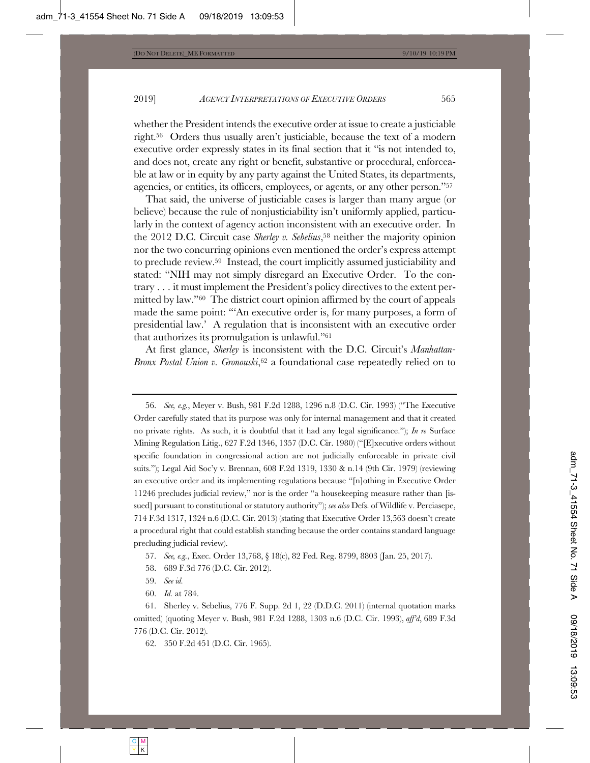whether the President intends the executive order at issue to create a justiciable right.56 Orders thus usually aren't justiciable, because the text of a modern executive order expressly states in its final section that it "is not intended to, and does not, create any right or benefit, substantive or procedural, enforceable at law or in equity by any party against the United States, its departments, agencies, or entities, its officers, employees, or agents, or any other person."57

That said, the universe of justiciable cases is larger than many argue (or believe) because the rule of nonjusticiability isn't uniformly applied, particularly in the context of agency action inconsistent with an executive order. In the 2012 D.C. Circuit case *Sherley v. Sebelius*,58 neither the majority opinion nor the two concurring opinions even mentioned the order's express attempt to preclude review.59 Instead, the court implicitly assumed justiciability and stated: "NIH may not simply disregard an Executive Order. To the contrary . . . it must implement the President's policy directives to the extent permitted by law."60 The district court opinion affirmed by the court of appeals made the same point: "'An executive order is, for many purposes, a form of presidential law.' A regulation that is inconsistent with an executive order that authorizes its promulgation is unlawful."61

At first glance, *Sherley* is inconsistent with the D.C. Circuit's *Manhattan-Bronx Postal Union v. Gronouski*,<sup>62</sup> a foundational case repeatedly relied on to

62. 350 F.2d 451 (D.C. Cir. 1965).

<sup>56.</sup> *See, e.g.*, Meyer v. Bush, 981 F.2d 1288, 1296 n.8 (D.C. Cir. 1993) ("The Executive Order carefully stated that its purpose was only for internal management and that it created no private rights. As such, it is doubtful that it had any legal significance."); *In re* Surface Mining Regulation Litig., 627 F.2d 1346, 1357 (D.C. Cir. 1980) ("[E]xecutive orders without specific foundation in congressional action are not judicially enforceable in private civil suits."); Legal Aid Soc'y v. Brennan, 608 F.2d 1319, 1330 & n.14 (9th Cir. 1979) (reviewing an executive order and its implementing regulations because "[n]othing in Executive Order 11246 precludes judicial review," nor is the order "a housekeeping measure rather than [issued] pursuant to constitutional or statutory authority"); *see also* Defs. of Wildlife v. Perciasepe, 714 F.3d 1317, 1324 n.6 (D.C. Cir. 2013) (stating that Executive Order 13,563 doesn't create a procedural right that could establish standing because the order contains standard language precluding judicial review).

<sup>57.</sup> *See, e.g.*, Exec. Order 13,768, § 18(c), 82 Fed. Reg. 8799, 8803 (Jan. 25, 2017).

<sup>58. 689</sup> F.3d 776 (D.C. Cir. 2012).

<sup>59.</sup> *See id.*

<sup>60.</sup> *Id.* at 784.

<sup>61.</sup> Sherley v. Sebelius, 776 F. Supp. 2d 1, 22 (D.D.C. 2011) (internal quotation marks omitted) (quoting Meyer v. Bush, 981 F.2d 1288, 1303 n.6 (D.C. Cir. 1993), *aff'd*, 689 F.3d 776 (D.C. Cir. 2012).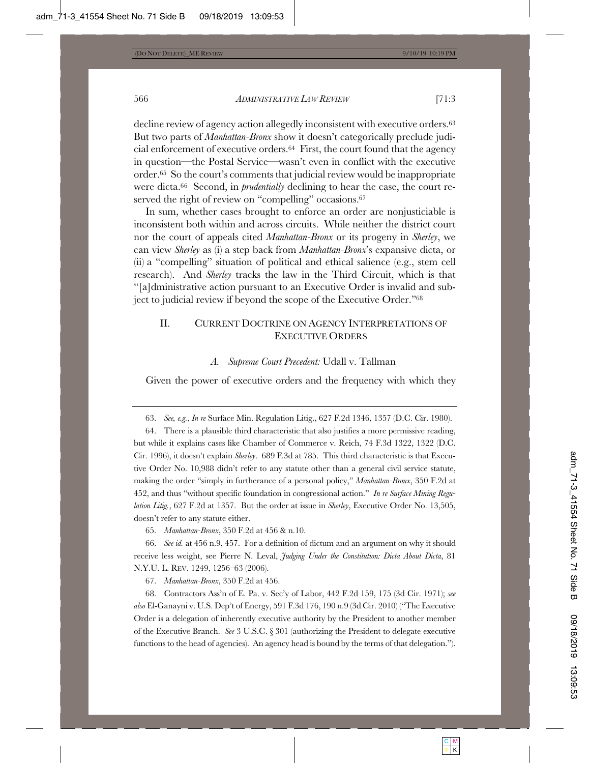decline review of agency action allegedly inconsistent with executive orders.<sup>63</sup> But two parts of *Manhattan-Bronx* show it doesn't categorically preclude judicial enforcement of executive orders.64 First, the court found that the agency in question—the Postal Service—wasn't even in conflict with the executive order.65 So the court's comments that judicial review would be inappropriate were dicta.66 Second, in *prudentially* declining to hear the case, the court reserved the right of review on "compelling" occasions.<sup>67</sup>

In sum, whether cases brought to enforce an order are nonjusticiable is inconsistent both within and across circuits. While neither the district court nor the court of appeals cited *Manhattan-Bronx* or its progeny in *Sherley*, we can view *Sherley* as (i) a step back from *Manhattan-Bronx*'s expansive dicta, or (ii) a "compelling" situation of political and ethical salience (e.g., stem cell research). And *Sherley* tracks the law in the Third Circuit, which is that "[a]dministrative action pursuant to an Executive Order is invalid and subject to judicial review if beyond the scope of the Executive Order."68

# II. CURRENT DOCTRINE ON AGENCY INTERPRETATIONS OF EXECUTIVE ORDERS

#### *A. Supreme Court Precedent:* Udall v. Tallman

Given the power of executive orders and the frequency with which they

67. *Manhattan-Bronx*, 350 F.2d at 456.

<sup>63.</sup> *See, e.g.*, *In re* Surface Min. Regulation Litig., 627 F.2d 1346, 1357 (D.C. Cir. 1980).

<sup>64.</sup> There is a plausible third characteristic that also justifies a more permissive reading, but while it explains cases like Chamber of Commerce v. Reich, 74 F.3d 1322, 1322 (D.C. Cir. 1996), it doesn't explain *Sherley*. 689 F.3d at 785. This third characteristic is that Executive Order No. 10,988 didn't refer to any statute other than a general civil service statute, making the order "simply in furtherance of a personal policy," *Manhattan-Bronx*, 350 F.2d at 452, and thus "without specific foundation in congressional action." *In re Surface Mining Regulation Litig.*, 627 F.2d at 1357. But the order at issue in *Sherley*, Executive Order No. 13,505, doesn't refer to any statute either.

<sup>65.</sup> *Manhattan-Bronx*, 350 F.2d at 456 & n.10.

<sup>66.</sup> *See id.* at 456 n.9, 457. For a definition of dictum and an argument on why it should receive less weight, see Pierre N. Leval, *Judging Under the Constitution: Dicta About Dicta*, 81 N.Y.U. L. REV. 1249, 1256–63 (2006).

<sup>68.</sup> Contractors Ass'n of E. Pa. v. Sec'y of Labor, 442 F.2d 159, 175 (3d Cir. 1971); *see also* El-Ganayni v. U.S. Dep't of Energy, 591 F.3d 176, 190 n.9 (3d Cir. 2010) ("The Executive Order is a delegation of inherently executive authority by the President to another member of the Executive Branch. *See* 3 U.S.C. § 301 (authorizing the President to delegate executive functions to the head of agencies). An agency head is bound by the terms of that delegation.").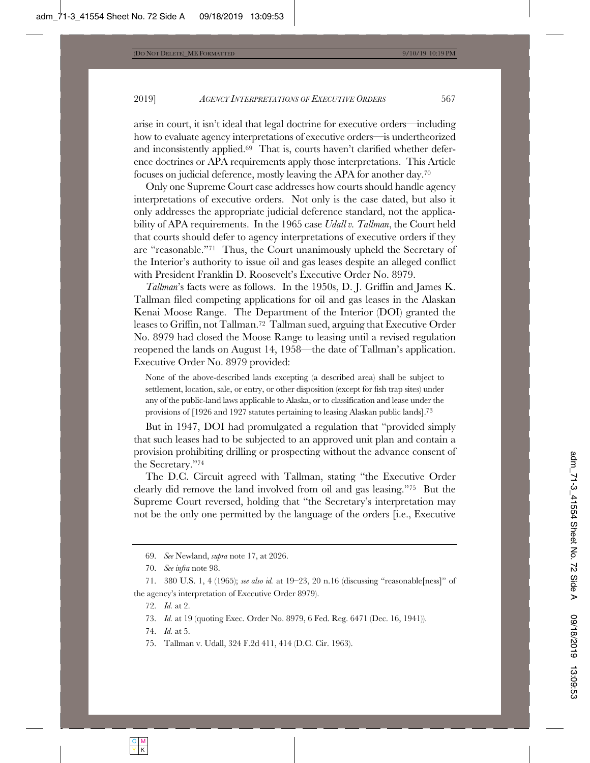arise in court, it isn't ideal that legal doctrine for executive orders—including how to evaluate agency interpretations of executive orders—is undertheorized and inconsistently applied.69 That is, courts haven't clarified whether deference doctrines or APA requirements apply those interpretations. This Article focuses on judicial deference, mostly leaving the APA for another day.70

Only one Supreme Court case addresses how courts should handle agency interpretations of executive orders. Not only is the case dated, but also it only addresses the appropriate judicial deference standard, not the applicability of APA requirements. In the 1965 case *Udall v. Tallman*, the Court held that courts should defer to agency interpretations of executive orders if they are "reasonable."71 Thus, the Court unanimously upheld the Secretary of the Interior's authority to issue oil and gas leases despite an alleged conflict with President Franklin D. Roosevelt's Executive Order No. 8979.

*Tallman*'s facts were as follows. In the 1950s, D. J. Griffin and James K. Tallman filed competing applications for oil and gas leases in the Alaskan Kenai Moose Range. The Department of the Interior (DOI) granted the leases to Griffin, not Tallman.72 Tallman sued, arguing that Executive Order No. 8979 had closed the Moose Range to leasing until a revised regulation reopened the lands on August 14, 1958—the date of Tallman's application. Executive Order No. 8979 provided:

None of the above-described lands excepting (a described area) shall be subject to settlement, location, sale, or entry, or other disposition (except for fish trap sites) under any of the public-land laws applicable to Alaska, or to classification and lease under the provisions of [1926 and 1927 statutes pertaining to leasing Alaskan public lands].73

But in 1947, DOI had promulgated a regulation that "provided simply that such leases had to be subjected to an approved unit plan and contain a provision prohibiting drilling or prospecting without the advance consent of the Secretary."74

The D.C. Circuit agreed with Tallman, stating "the Executive Order clearly did remove the land involved from oil and gas leasing."75 But the Supreme Court reversed, holding that "the Secretary's interpretation may not be the only one permitted by the language of the orders [i.e., Executive

75. Tallman v. Udall, 324 F.2d 411, 414 (D.C. Cir. 1963).

<sup>69.</sup> *See* Newland, *supra* note 17, at 2026.

<sup>70.</sup> *See infra* note 98.

<sup>71. 380</sup> U.S. 1, 4 (1965); *see also id.* at 19–23, 20 n.16 (discussing "reasonable[ness]" of the agency's interpretation of Executive Order 8979).

<sup>72.</sup> *Id.* at 2.

<sup>73.</sup> *Id.* at 19 (quoting Exec. Order No. 8979, 6 Fed. Reg. 6471 (Dec. 16, 1941)).

<sup>74.</sup> *Id.* at 5.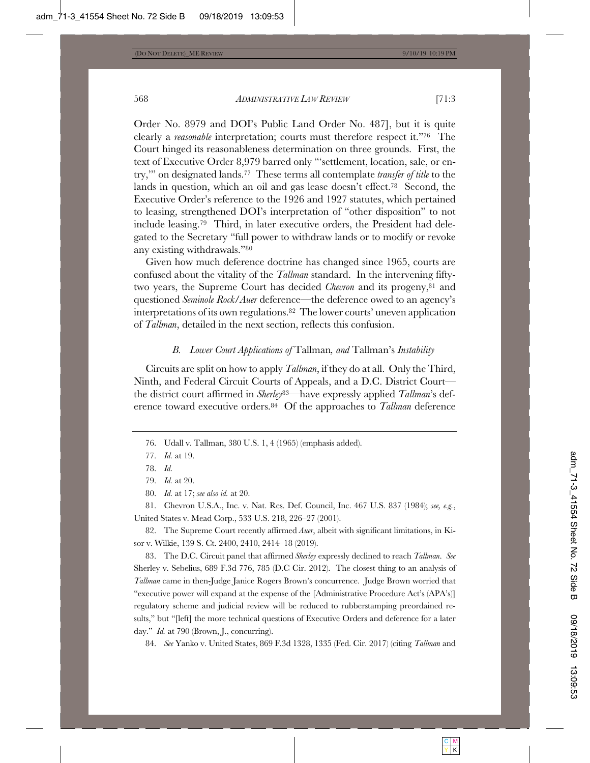Order No. 8979 and DOI's Public Land Order No. 487], but it is quite clearly a *reasonable* interpretation; courts must therefore respect it."76 The Court hinged its reasonableness determination on three grounds. First, the text of Executive Order 8,979 barred only "'settlement, location, sale, or entry,'" on designated lands.77 These terms all contemplate *transfer of title* to the lands in question, which an oil and gas lease doesn't effect.78 Second, the Executive Order's reference to the 1926 and 1927 statutes, which pertained to leasing, strengthened DOI's interpretation of "other disposition" to not include leasing.79 Third, in later executive orders, the President had delegated to the Secretary "full power to withdraw lands or to modify or revoke any existing withdrawals."80

Given how much deference doctrine has changed since 1965, courts are confused about the vitality of the *Tallman* standard. In the intervening fiftytwo years, the Supreme Court has decided *Chevron* and its progeny,81 and questioned *Seminole Rock*/*Auer* deference—the deference owed to an agency's interpretations of its own regulations.82 The lower courts' uneven application of *Tallman*, detailed in the next section, reflects this confusion.

#### *B. Lower Court Applications of* Tallman*, and* Tallman's *Instability*

Circuits are split on how to apply *Tallman*, if they do at all. Only the Third, Ninth, and Federal Circuit Courts of Appeals, and a D.C. District Court the district court affirmed in *Sherley*83—have expressly applied *Tallman*'s deference toward executive orders.84 Of the approaches to *Tallman* deference

82. The Supreme Court recently affirmed *Auer*, albeit with significant limitations, in Kisor v. Wilkie, 139 S. Ct. 2400, 2410, 2414–18 (2019).

83. The D.C. Circuit panel that affirmed *Sherley* expressly declined to reach *Tallman*. *See* Sherley v. Sebelius, 689 F.3d 776, 785 (D.C Cir. 2012). The closest thing to an analysis of *Tallman* came in then-Judge Janice Rogers Brown's concurrence. Judge Brown worried that "executive power will expand at the expense of the [Administrative Procedure Act's (APA's)] regulatory scheme and judicial review will be reduced to rubberstamping preordained results," but "[left] the more technical questions of Executive Orders and deference for a later day." *Id.* at 790 (Brown, J., concurring).

84. *See* Yanko v. United States, 869 F.3d 1328, 1335 (Fed. Cir. 2017) (citing *Tallman* and

<sup>76.</sup> Udall v. Tallman, 380 U.S. 1, 4 (1965) (emphasis added).

<sup>77.</sup> *Id.* at 19.

<sup>78.</sup> *Id.*

<sup>79.</sup> *Id.* at 20.

<sup>80.</sup> *Id.* at 17; *see also id.* at 20.

<sup>81.</sup> Chevron U.S.A., Inc. v. Nat. Res. Def. Council, Inc. 467 U.S. 837 (1984); *see, e.g.*, United States v. Mead Corp., 533 U.S. 218, 226–27 (2001).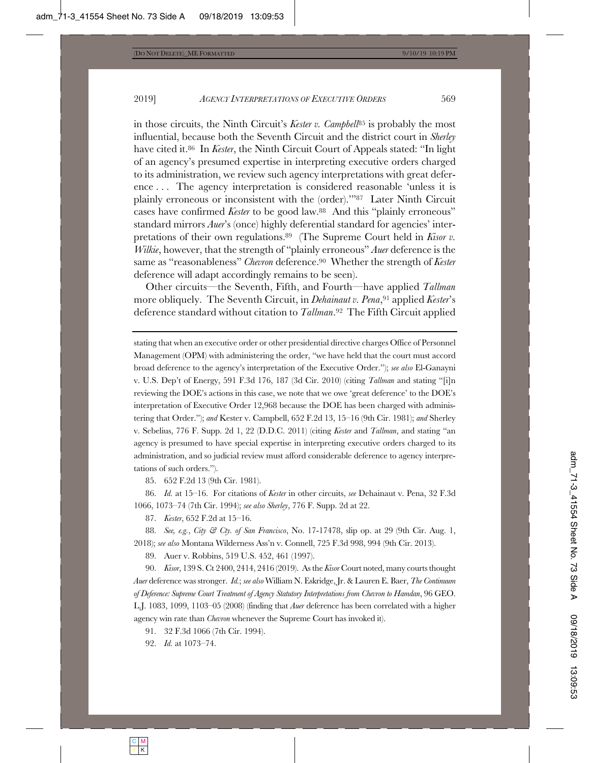in those circuits, the Ninth Circuit's *Kester v. Campbell*<sup>85</sup> is probably the most influential, because both the Seventh Circuit and the district court in *Sherley* have cited it.86 In *Kester*, the Ninth Circuit Court of Appeals stated: "In light of an agency's presumed expertise in interpreting executive orders charged to its administration, we review such agency interpretations with great deference . . . The agency interpretation is considered reasonable 'unless it is plainly erroneous or inconsistent with the (order).'"87 Later Ninth Circuit cases have confirmed *Kester* to be good law.88 And this "plainly erroneous" standard mirrors *Auer*'s (once) highly deferential standard for agencies' interpretations of their own regulations.89 (The Supreme Court held in *Kisor v. Wilkie*, however, that the strength of "plainly erroneous" *Auer* deference is the same as "reasonableness" *Chevron* deference.90 Whether the strength of *Kester* deference will adapt accordingly remains to be seen).

Other circuits—the Seventh, Fifth, and Fourth—have applied *Tallman* more obliquely. The Seventh Circuit, in *Dehainaut v. Pena*,<sup>91</sup> applied *Kester's* deference standard without citation to *Tallman*.92 The Fifth Circuit applied

stating that when an executive order or other presidential directive charges Office of Personnel Management (OPM) with administering the order, "we have held that the court must accord broad deference to the agency's interpretation of the Executive Order."); *see also* El-Ganayni v. U.S. Dep't of Energy, 591 F.3d 176, 187 (3d Cir. 2010) (citing *Tallman* and stating "[i]n reviewing the DOE's actions in this case, we note that we owe 'great deference' to the DOE's interpretation of Executive Order 12,968 because the DOE has been charged with administering that Order."); *and* Kester v. Campbell, 652 F.2d 13, 15–16 (9th Cir. 1981); *and* Sherley v. Sebelius, 776 F. Supp. 2d 1, 22 (D.D.C. 2011) (citing *Kester* and *Tallman*, and stating "an agency is presumed to have special expertise in interpreting executive orders charged to its administration, and so judicial review must afford considerable deference to agency interpretations of such orders.").

85. 652 F.2d 13 (9th Cir. 1981).

86. *Id.* at 15–16. For citations of *Kester* in other circuits, *see* Dehainaut v. Pena, 32 F.3d 1066, 1073–74 (7th Cir. 1994); *see also Sherley*, 776 F. Supp. 2d at 22.

87. *Kester*, 652 F.2d at 15–16.

88. *See, e.g.*, *City & Cty. of San Francisco*, No. 17-17478, slip op. at 29 (9th Cir. Aug. 1, 2018); *see also* Montana Wilderness Ass'n v. Connell, 725 F.3d 998, 994 (9th Cir. 2013).

89. Auer v. Robbins, 519 U.S. 452, 461 (1997).

90. *Kisor*, 139 S. Ct 2400, 2414, 2416 (2019). As the *Kisor* Court noted, many courts thought *Auer* deference was stronger. *Id.*; *see also* William N. Eskridge, Jr. & Lauren E. Baer, *The Continuum of Deference: Supreme Court Treatment of Agency Statutory Interpretations from Chevron to Hamdan*, 96 GEO. L.J. 1083, 1099, 1103–05 (2008) (finding that *Auer* deference has been correlated with a higher agency win rate than *Chevron* whenever the Supreme Court has invoked it).

91. 32 F.3d 1066 (7th Cir. 1994).

92. *Id.* at 1073–74.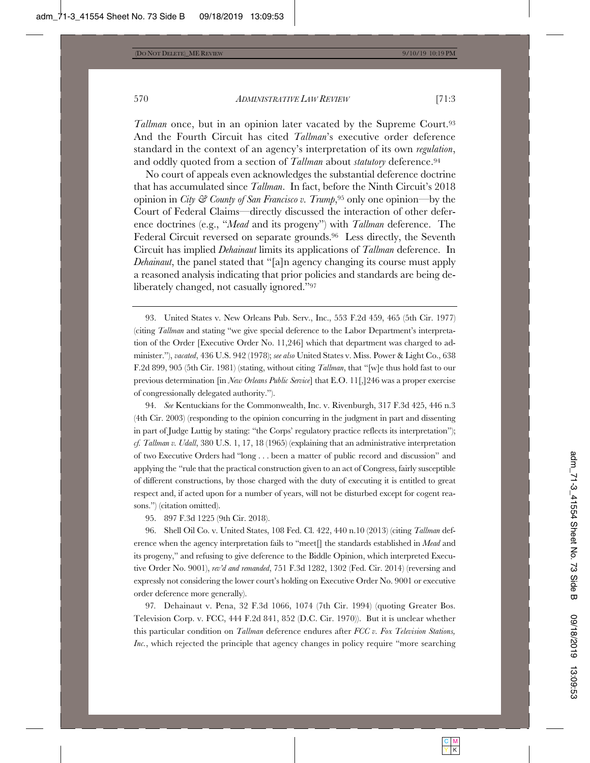*Tallman* once, but in an opinion later vacated by the Supreme Court.<sup>93</sup> And the Fourth Circuit has cited *Tallman*'s executive order deference standard in the context of an agency's interpretation of its own *regulation*, and oddly quoted from a section of *Tallman* about *statutory* deference.<sup>94</sup>

No court of appeals even acknowledges the substantial deference doctrine that has accumulated since *Tallman*. In fact, before the Ninth Circuit's 2018 opinion in *City & County of San Francisco v. Trump*,95 only one opinion—by the Court of Federal Claims—directly discussed the interaction of other deference doctrines (e.g., "*Mead* and its progeny") with *Tallman* deference. The Federal Circuit reversed on separate grounds.96 Less directly, the Seventh Circuit has implied *Dehainaut* limits its applications of *Tallman* deference. In *Dehainaut*, the panel stated that "[a]n agency changing its course must apply a reasoned analysis indicating that prior policies and standards are being deliberately changed, not casually ignored."97

94. *See* Kentuckians for the Commonwealth, Inc. v. Rivenburgh, 317 F.3d 425, 446 n.3 (4th Cir. 2003) (responding to the opinion concurring in the judgment in part and dissenting in part of Judge Luttig by stating: "the Corps' regulatory practice reflects its interpretation"); *cf. Tallman v. Udall*, 380 U.S. 1, 17, 18 (1965) (explaining that an administrative interpretation of two Executive Orders had "long . . . been a matter of public record and discussion" and applying the "rule that the practical construction given to an act of Congress, fairly susceptible of different constructions, by those charged with the duty of executing it is entitled to great respect and, if acted upon for a number of years, will not be disturbed except for cogent reasons.") (citation omitted).

95. 897 F.3d 1225 (9th Cir. 2018).

96. Shell Oil Co. v. United States, 108 Fed. Cl. 422, 440 n.10 (2013) (citing *Tallman* deference when the agency interpretation fails to "meet[] the standards established in *Mead* and its progeny," and refusing to give deference to the Biddle Opinion, which interpreted Executive Order No. 9001), *rev'd and remanded*, 751 F.3d 1282, 1302 (Fed. Cir. 2014) (reversing and expressly not considering the lower court's holding on Executive Order No. 9001 or executive order deference more generally).

97*.* Dehainaut v. Pena, 32 F.3d 1066, 1074 (7th Cir. 1994) (quoting Greater Bos. Television Corp. v. FCC, 444 F.2d 841, 852 (D.C. Cir. 1970)). But it is unclear whether this particular condition on *Tallman* deference endures after *FCC v. Fox Television Stations, Inc.*, which rejected the principle that agency changes in policy require "more searching"

<sup>93.</sup> United States v. New Orleans Pub. Serv., Inc., 553 F.2d 459, 465 (5th Cir. 1977) (citing *Tallman* and stating "we give special deference to the Labor Department's interpretation of the Order [Executive Order No. 11,246] which that department was charged to administer."), *vacated*, 436 U.S. 942 (1978); *see also* United States v. Miss. Power & Light Co., 638 F.2d 899, 905 (5th Cir. 1981) (stating, without citing *Tallman*, that "[w]e thus hold fast to our previous determination [in *New Orleans Public Service*] that E.O. 11[,]246 was a proper exercise of congressionally delegated authority.").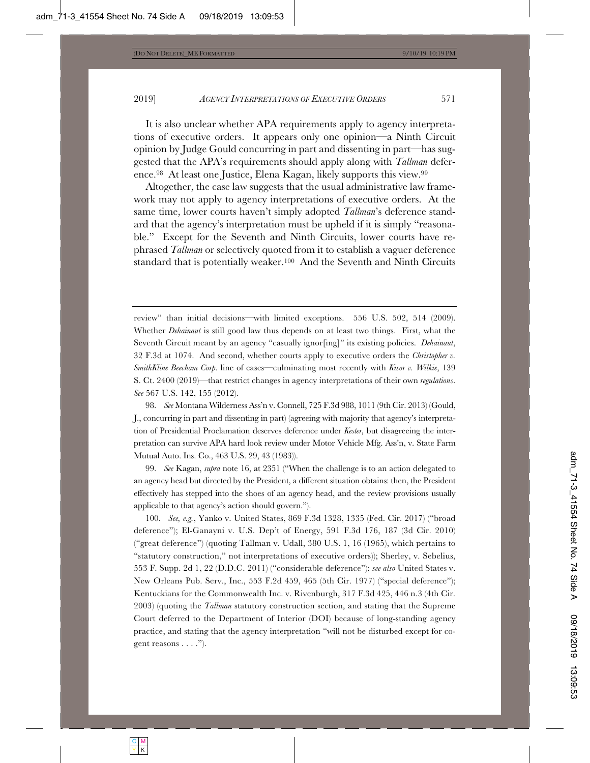It is also unclear whether APA requirements apply to agency interpretations of executive orders. It appears only one opinion—a Ninth Circuit opinion by Judge Gould concurring in part and dissenting in part—has suggested that the APA's requirements should apply along with *Tallman* deference.98 At least one Justice, Elena Kagan, likely supports this view.99

Altogether, the case law suggests that the usual administrative law framework may not apply to agency interpretations of executive orders. At the same time, lower courts haven't simply adopted *Tallman*'s deference standard that the agency's interpretation must be upheld if it is simply "reasonable." Except for the Seventh and Ninth Circuits, lower courts have rephrased *Tallman* or selectively quoted from it to establish a vaguer deference standard that is potentially weaker.100 And the Seventh and Ninth Circuits

98. *See* Montana Wilderness Ass'n v. Connell, 725 F.3d 988, 1011 (9th Cir. 2013) (Gould, J., concurring in part and dissenting in part) (agreeing with majority that agency's interpretation of Presidential Proclamation deserves deference under *Kester*, but disagreeing the interpretation can survive APA hard look review under Motor Vehicle Mfg. Ass'n, v. State Farm Mutual Auto. Ins. Co., 463 U.S. 29, 43 (1983)).

99. *See* Kagan, *supra* note 16, at 2351 ("When the challenge is to an action delegated to an agency head but directed by the President, a different situation obtains: then, the President effectively has stepped into the shoes of an agency head, and the review provisions usually applicable to that agency's action should govern.").

100. *See, e.g.*, Yanko v. United States, 869 F.3d 1328, 1335 (Fed. Cir. 2017) ("broad deference"); El-Ganayni v. U.S. Dep't of Energy, 591 F.3d 176, 187 (3d Cir. 2010) ("great deference") (quoting Tallman v. Udall, 380 U.S. 1, 16 (1965), which pertains to "statutory construction," not interpretations of executive orders)); Sherley, v. Sebelius, 553 F. Supp. 2d 1, 22 (D.D.C. 2011) ("considerable deference"); *see also* United States v. New Orleans Pub. Serv., Inc., 553 F.2d 459, 465 (5th Cir. 1977) ("special deference"); Kentuckians for the Commonwealth Inc. v. Rivenburgh, 317 F.3d 425, 446 n.3 (4th Cir. 2003) (quoting the *Tallman* statutory construction section, and stating that the Supreme Court deferred to the Department of Interior (DOI) because of long-standing agency practice, and stating that the agency interpretation "will not be disturbed except for cogent reasons . . . .").

review" than initial decisions—with limited exceptions. 556 U.S. 502, 514 (2009). Whether *Dehainaut* is still good law thus depends on at least two things. First, what the Seventh Circuit meant by an agency "casually ignor[ing]" its existing policies. *Dehainaut*, 32 F.3d at 1074. And second, whether courts apply to executive orders the *Christopher v. SmithKline Beecham Corp.* line of cases—culminating most recently with *Kisor v. Wilkie*, 139 S. Ct. 2400 (2019)—that restrict changes in agency interpretations of their own *regulations*. *See* 567 U.S. 142, 155 (2012).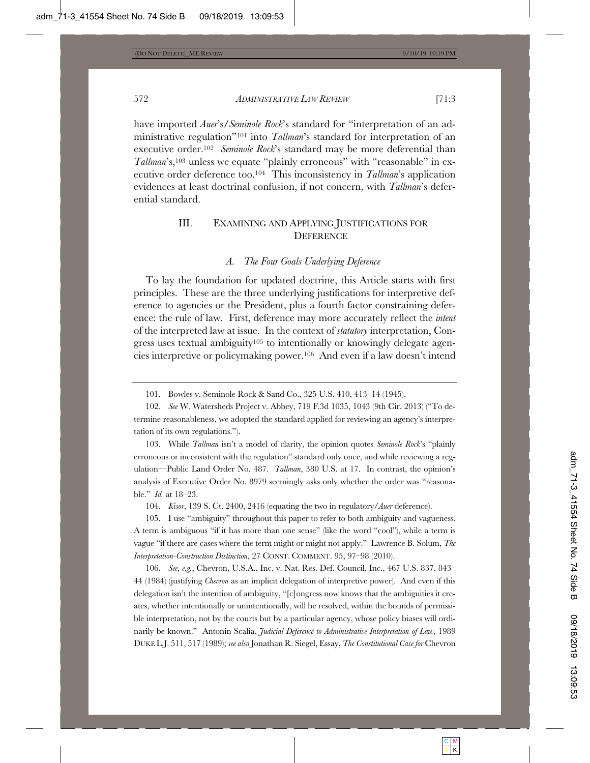have imported *Auer*'s/*Seminole Rock*'s standard for "interpretation of an administrative regulation"101 into *Tallman*'s standard for interpretation of an executive order.102 *Seminole Rock*'s standard may be more deferential than Tallman's,<sup>103</sup> unless we equate "plainly erroneous" with "reasonable" in executive order deference too.104 This inconsistency in *Tallman*'s application evidences at least doctrinal confusion, if not concern, with *Tallman*'s deferential standard.

# III. EXAMINING AND APPLYING JUSTIFICATIONS FOR **DEFERENCE**

#### *A. The Four Goals Underlying Deference*

To lay the foundation for updated doctrine, this Article starts with first principles. These are the three underlying justifications for interpretive deference to agencies or the President, plus a fourth factor constraining deference: the rule of law. First, deference may more accurately reflect the *intent* of the interpreted law at issue. In the context of *statutory* interpretation, Congress uses textual ambiguity<sup>105</sup> to intentionally or knowingly delegate agencies interpretive or policymaking power.106 And even if a law doesn't intend

103. While *Tallman* isn't a model of clarity, the opinion quotes *Seminole Rock*'s "plainly erroneous or inconsistent with the regulation" standard only once, and while reviewing a regulation—Public Land Order No. 487. *Tallman*, 380 U.S. at 17. In contrast, the opinion's analysis of Executive Order No. 8979 seemingly asks only whether the order was "reasonable." *Id.* at 18–23.

104. *Kisor*, 139 S. Ct. 2400, 2416 (equating the two in regulatory/*Auer* deference).

105. I use "ambiguity" throughout this paper to refer to both ambiguity and vagueness. A term is ambiguous "if it has more than one sense" (like the word "cool"), while a term is vague "if there are cases where the term might or might not apply." Lawrence B. Solum, *The Interpretation-Construction Distinction*, 27 CONST. COMMENT. 95, 97–98 (2010).

106. *See, e.g.*, Chevron, U.S.A., Inc. v. Nat. Res. Def. Council, Inc., 467 U.S. 837, 843– 44 (1984) (justifying *Chevron* as an implicit delegation of interpretive power). And even if this delegation isn't the intention of ambiguity, "[c]ongress now knows that the ambiguities it creates, whether intentionally or unintentionally, will be resolved, within the bounds of permissible interpretation, not by the courts but by a particular agency, whose policy biases will ordinarily be known." Antonin Scalia, *Judicial Deference to Administrative Interpretation of Law*, 1989 DUKE L.J. 511, 517 (1989); *see also* Jonathan R. Siegel, Essay, *The Constitutional Case for* Chevron

<sup>101.</sup> Bowles v. Seminole Rock & Sand Co., 325 U.S. 410, 413–14 (1945).

<sup>102.</sup> *See* W. Watersheds Project v. Abbey, 719 F.3d 1035, 1043 (9th Cir. 2013) ("To determine reasonableness, we adopted the standard applied for reviewing an agency's interpretation of its own regulations.").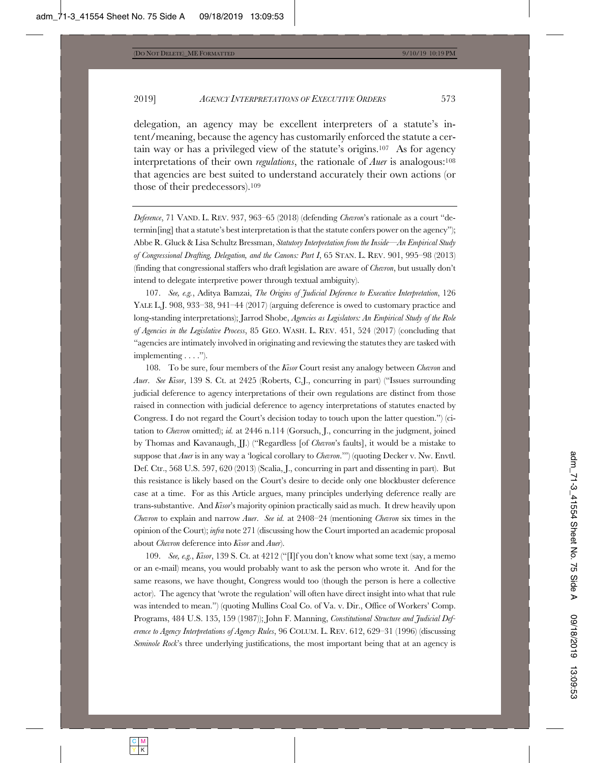delegation, an agency may be excellent interpreters of a statute's intent/meaning, because the agency has customarily enforced the statute a certain way or has a privileged view of the statute's origins.107 As for agency interpretations of their own *regulations*, the rationale of *Auer* is analogous:108 that agencies are best suited to understand accurately their own actions (or those of their predecessors).109

*Deference*, 71 VAND. L. REV. 937, 963–65 (2018) (defending *Chevron*'s rationale as a court "determin[ing] that a statute's best interpretation is that the statute confers power on the agency"); Abbe R. Gluck & Lisa Schultz Bressman, *Statutory Interpretation from the Inside—An Empirical Study of Congressional Drafting, Delegation, and the Canons: Part I*, 65 STAN. L. REV. 901, 995–98 (2013) (finding that congressional staffers who draft legislation are aware of *Chevron*, but usually don't intend to delegate interpretive power through textual ambiguity).

107. *See, e.g.*, Aditya Bamzai, *The Origins of Judicial Deference to Executive Interpretation*, 126 YALE L.J. 908, 933–38, 941–44 (2017) (arguing deference is owed to customary practice and long-standing interpretations); Jarrod Shobe, *Agencies as Legislators: An Empirical Study of the Role of Agencies in the Legislative Process*, 85 GEO. WASH. L. REV. 451, 524 (2017) (concluding that "agencies are intimately involved in originating and reviewing the statutes they are tasked with implementing . . . . ").

108. To be sure, four members of the *Kisor* Court resist any analogy between *Chevron* and *Auer*. *See Kisor*, 139 S. Ct. at 2425 (Roberts, C.J., concurring in part) ("Issues surrounding judicial deference to agency interpretations of their own regulations are distinct from those raised in connection with judicial deference to agency interpretations of statutes enacted by Congress. I do not regard the Court's decision today to touch upon the latter question.") (citation to *Chevron* omitted); *id.* at 2446 n.114 (Gorsuch, J., concurring in the judgment, joined by Thomas and Kavanaugh, JJ.) ("Regardless [of *Chevron*'s faults], it would be a mistake to suppose that *Auer* is in any way a 'logical corollary to *Chevron*.'") (quoting Decker v. Nw. Envtl. Def. Ctr., 568 U.S. 597, 620 (2013) (Scalia, J., concurring in part and dissenting in part). But this resistance is likely based on the Court's desire to decide only one blockbuster deference case at a time. For as this Article argues, many principles underlying deference really are trans-substantive. And *Kisor*'s majority opinion practically said as much. It drew heavily upon *Chevron* to explain and narrow *Auer*. *See id.* at 2408–24 (mentioning *Chevron* six times in the opinion of the Court); *infra* note 271 (discussing how the Court imported an academic proposal about *Chevron* deference into *Kisor* and *Auer*).

109. *See, e.g.*, *Kisor*, 139 S. Ct. at 4212 ("[I]f you don't know what some text (say, a memo or an e-mail) means, you would probably want to ask the person who wrote it. And for the same reasons, we have thought, Congress would too (though the person is here a collective actor). The agency that 'wrote the regulation' will often have direct insight into what that rule was intended to mean.") (quoting Mullins Coal Co. of Va. v. Dir., Office of Workers' Comp. Programs, 484 U.S. 135, 159 (1987)); John F. Manning, *Constitutional Structure and Judicial Deference to Agency Interpretations of Agency Rules*, 96 COLUM. L. REV. 612, 629–31 (1996) (discussing *Seminole Rock*'s three underlying justifications, the most important being that at an agency is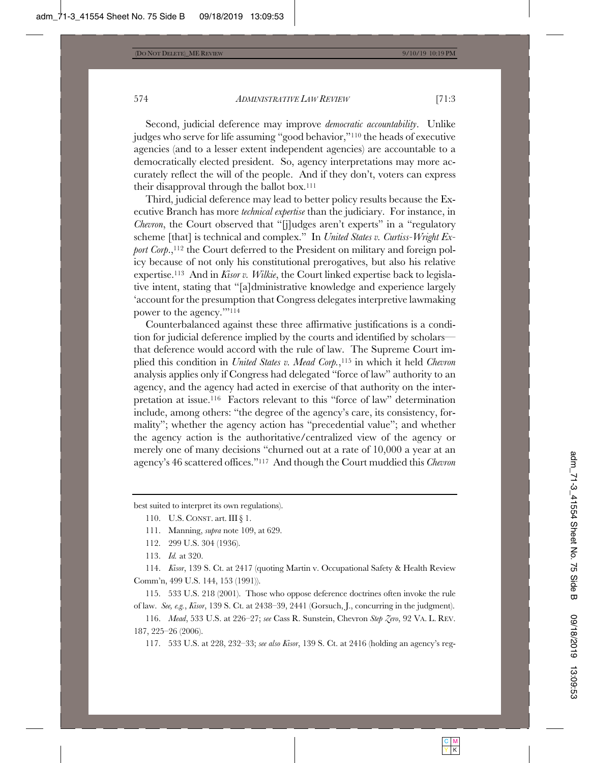Second, judicial deference may improve *democratic accountability*. Unlike judges who serve for life assuming "good behavior,"110 the heads of executive agencies (and to a lesser extent independent agencies) are accountable to a democratically elected president. So, agency interpretations may more accurately reflect the will of the people. And if they don't, voters can express their disapproval through the ballot box.111

Third, judicial deference may lead to better policy results because the Executive Branch has more *technical expertise* than the judiciary. For instance, in *Chevron*, the Court observed that "[j]udges aren't experts" in a "regulatory scheme [that] is technical and complex." In *United States v. Curtiss-Wright Export Corp.*,<sup>112</sup> the Court deferred to the President on military and foreign policy because of not only his constitutional prerogatives, but also his relative expertise.113 And in *Kisor v. Wilkie*, the Court linked expertise back to legislative intent, stating that "[a]dministrative knowledge and experience largely 'account for the presumption that Congress delegates interpretive lawmaking power to the agency.'"114

Counterbalanced against these three affirmative justifications is a condition for judicial deference implied by the courts and identified by scholars that deference would accord with the rule of law. The Supreme Court implied this condition in *United States v. Mead Corp.*,115 in which it held *Chevron* analysis applies only if Congress had delegated "force of law" authority to an agency, and the agency had acted in exercise of that authority on the interpretation at issue.116 Factors relevant to this "force of law" determination include, among others: "the degree of the agency's care, its consistency, formality"; whether the agency action has "precedential value"; and whether the agency action is the authoritative/centralized view of the agency or merely one of many decisions "churned out at a rate of 10,000 a year at an agency's 46 scattered offices."117 And though the Court muddied this *Chevron*

best suited to interpret its own regulations).

- 112. 299 U.S. 304 (1936).
- 113. *Id.* at 320.

114. *Kisor*, 139 S. Ct. at 2417 (quoting Martin v. Occupational Safety & Health Review Comm'n, 499 U.S. 144, 153 (1991)).

115. 533 U.S. 218 (2001). Those who oppose deference doctrines often invoke the rule of law. *See, e.g.*, *Kisor*, 139 S. Ct. at 2438–39, 2441 (Gorsuch, J., concurring in the judgment).

116. *Mead*, 533 U.S. at 226–27; *see* Cass R. Sunstein, Chevron *Step Zero*, 92 VA. L. REV. 187, 225–26 (2006).

117. 533 U.S. at 228, 232–33; *see also Kisor*, 139 S. Ct. at 2416 (holding an agency's reg-

<sup>110.</sup> U.S. CONST. art. III § 1.

<sup>111.</sup> Manning, *supra* note 109, at 629.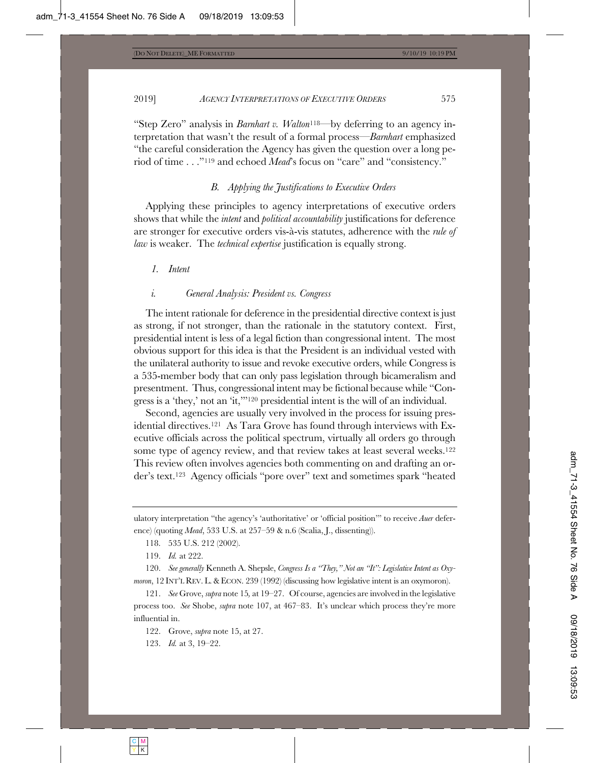"Step Zero" analysis in *Barnhart v. Walton*118—by deferring to an agency interpretation that wasn't the result of a formal process—*Barnhart* emphasized "the careful consideration the Agency has given the question over a long period of time . . ."119 and echoed *Mead*'s focus on "care" and "consistency."

# *B. Applying the Justifications to Executive Orders*

Applying these principles to agency interpretations of executive orders shows that while the *intent* and *political accountability* justifications for deference are stronger for executive orders vis-à-vis statutes, adherence with the *rule of law* is weaker. The *technical expertise* justification is equally strong.

#### *1. Intent*

#### *i. General Analysis: President vs. Congress*

The intent rationale for deference in the presidential directive context is just as strong, if not stronger, than the rationale in the statutory context. First, presidential intent is less of a legal fiction than congressional intent. The most obvious support for this idea is that the President is an individual vested with the unilateral authority to issue and revoke executive orders, while Congress is a 535-member body that can only pass legislation through bicameralism and presentment. Thus, congressional intent may be fictional because while "Congress is a 'they,' not an 'it,'"120 presidential intent is the will of an individual.

Second, agencies are usually very involved in the process for issuing presidential directives.121 As Tara Grove has found through interviews with Executive officials across the political spectrum, virtually all orders go through some type of agency review, and that review takes at least several weeks.<sup>122</sup> This review often involves agencies both commenting on and drafting an order's text.123 Agency officials "pore over" text and sometimes spark "heated

ulatory interpretation "the agency's 'authoritative' or 'official position'" to receive *Auer* deference) (quoting *Mead*, 533 U.S. at 257–59 & n.6 (Scalia, J., dissenting)).

118. 535 U.S. 212 (2002).

119. *Id.* at 222.

120. *See generally* Kenneth A. Shepsle, *Congress Is a "They," Not an "It": Legislative Intent as Oxymoron*, 12 INT'L REV. L. & ECON. 239 (1992) (discussing how legislative intent is an oxymoron).

121. *See* Grove, *supra* note 15*,* at 19–27. Of course, agencies are involved in the legislative process too. *See* Shobe, *supra* note 107, at 467–83. It's unclear which process they're more influential in.

122. Grove, *supra* note 15, at 27.

123. *Id.* at 3, 19–22.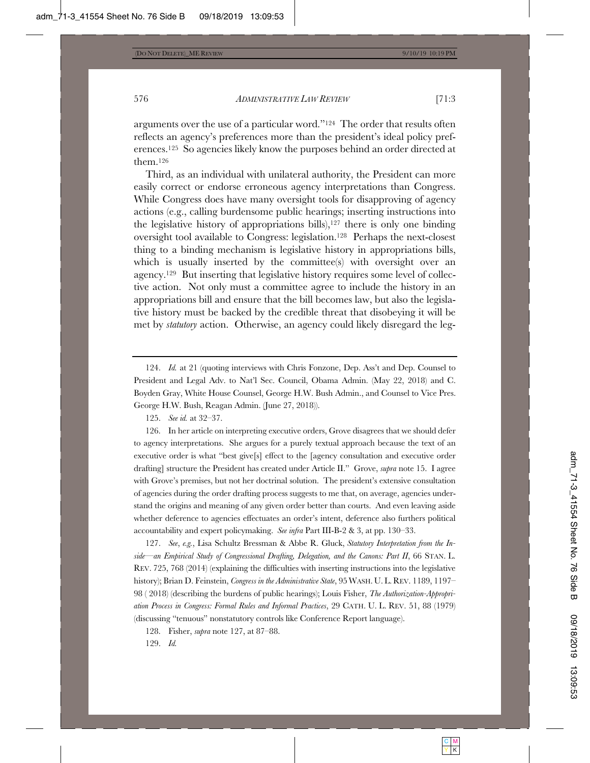arguments over the use of a particular word."124 The order that results often reflects an agency's preferences more than the president's ideal policy preferences.125 So agencies likely know the purposes behind an order directed at them.126

Third, as an individual with unilateral authority, the President can more easily correct or endorse erroneous agency interpretations than Congress. While Congress does have many oversight tools for disapproving of agency actions (e.g., calling burdensome public hearings; inserting instructions into the legislative history of appropriations bills), $127$  there is only one binding oversight tool available to Congress: legislation.128 Perhaps the next-closest thing to a binding mechanism is legislative history in appropriations bills, which is usually inserted by the committee(s) with oversight over an agency.129 But inserting that legislative history requires some level of collective action. Not only must a committee agree to include the history in an appropriations bill and ensure that the bill becomes law, but also the legislative history must be backed by the credible threat that disobeying it will be met by *statutory* action. Otherwise, an agency could likely disregard the leg-

124. *Id.* at 21 (quoting interviews with Chris Fonzone, Dep. Ass't and Dep. Counsel to President and Legal Adv. to Nat'l Sec. Council, Obama Admin. (May 22, 2018) and C. Boyden Gray, White House Counsel, George H.W. Bush Admin., and Counsel to Vice Pres. George H.W. Bush, Reagan Admin. (June 27, 2018)).

126. In her article on interpreting executive orders, Grove disagrees that we should defer to agency interpretations. She argues for a purely textual approach because the text of an executive order is what "best give[s] effect to the [agency consultation and executive order drafting] structure the President has created under Article II." Grove, *supra* note 15. I agree with Grove's premises, but not her doctrinal solution. The president's extensive consultation of agencies during the order drafting process suggests to me that, on average, agencies understand the origins and meaning of any given order better than courts. And even leaving aside whether deference to agencies effectuates an order's intent, deference also furthers political accountability and expert policymaking. *See infra* Part III-B-2 & 3, at pp. 130–33.

127. *See*, *e.g.*, Lisa Schultz Bressman & Abbe R. Gluck, *Statutory Interpretation from the Inside—an Empirical Study of Congressional Drafting, Delegation, and the Canons: Part II*, 66 STAN. L. REV. 725, 768 (2014) (explaining the difficulties with inserting instructions into the legislative history); Brian D. Feinstein, *Congress in the Administrative State*, 95WASH. U. L. REV. 1189, 1197– 98 ( 2018) (describing the burdens of public hearings); Louis Fisher, *The Authorization-Appropriation Process in Congress: Formal Rules and Informal Practices*, 29 CATH. U. L. REV. 51, 88 (1979) (discussing "tenuous" nonstatutory controls like Conference Report language).

128. Fisher, *supra* note 127, at 87–88.

129. *Id.*

<sup>125.</sup> *See id.* at 32–37.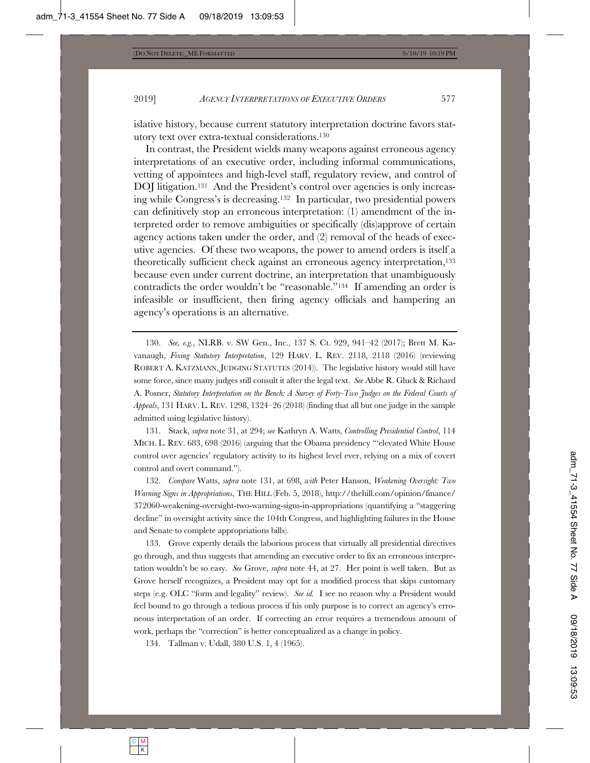islative history, because current statutory interpretation doctrine favors statutory text over extra-textual considerations.130

In contrast, the President wields many weapons against erroneous agency interpretations of an executive order, including informal communications, vetting of appointees and high-level staff, regulatory review, and control of DOJ litigation.<sup>131</sup> And the President's control over agencies is only increasing while Congress's is decreasing.132 In particular, two presidential powers can definitively stop an erroneous interpretation: (1) amendment of the interpreted order to remove ambiguities or specifically (dis)approve of certain agency actions taken under the order, and (2) removal of the heads of executive agencies. Of these two weapons, the power to amend orders is itself a theoretically sufficient check against an erroneous agency interpretation,133 because even under current doctrine, an interpretation that unambiguously contradicts the order wouldn't be "reasonable."134 If amending an order is infeasible or insufficient, then firing agency officials and hampering an agency's operations is an alternative.

130. *See, e.g.*, NLRB. v. SW Gen., Inc., 137 S. Ct. 929, 941–42 (2017); Brett M. Kavanaugh, *Fixing Statutory Interpretation*, 129 HARV. L. REV. 2118, 2118 (2016) (reviewing ROBERT A. KATZMANN, JUDGING STATUTES (2014)). The legislative history would still have some force, since many judges still consult it after the legal text. *See* Abbe R. Gluck & Richard A. Posner, *Statutory Interpretation on the Bench: A Survey of Forty-Two Judges on the Federal Courts of Appeals*, 131 HARV. L. REV. 1298, 1324–26 (2018) (finding that all but one judge in the sample admitted using legislative history).

131. Stack, *supra* note 31, at 294; *see* Kathryn A. Watts, *Controlling Presidential Control*, 114 MICH. L. REV. 683, 698 (2016) (arguing that the Obama presidency "'elevated White House control over agencies' regulatory activity to its highest level ever, relying on a mix of covert control and overt command.").

132. *Compare* Watts, *supra* note 131, at 698, *with* Peter Hanson, *Weakening Oversight: Two Warning Signs in Appropriations*, THE HILL (Feb. 5, 2018), http://thehill.com/opinion/finance/ 372060-weakening-oversight-two-warning-signs-in-appropriations (quantifying a "staggering decline" in oversight activity since the 104th Congress, and highlighting failures in the House and Senate to complete appropriations bills).

133. Grove expertly details the laborious process that virtually all presidential directives go through, and thus suggests that amending an executive order to fix an erroneous interpretation wouldn't be so easy. *See* Grove, *supra* note 44, at 27. Her point is well taken. But as Grove herself recognizes, a President may opt for a modified process that skips customary steps (e.g. OLC "form and legality" review). *See id.* I see no reason why a President would feel bound to go through a tedious process if his only purpose is to correct an agency's erroneous interpretation of an order. If correcting an error requires a tremendous amount of work, perhaps the "correction" is better conceptualized as a change in policy.

134. Tallman v. Udall, 380 U.S. 1, 4 (1965).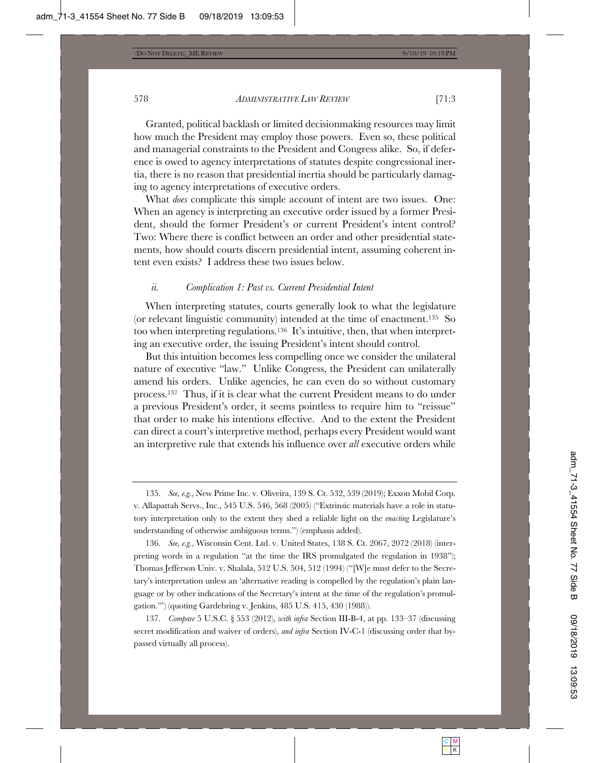Granted, political backlash or limited decisionmaking resources may limit how much the President may employ those powers. Even so, these political and managerial constraints to the President and Congress alike. So, if deference is owed to agency interpretations of statutes despite congressional inertia, there is no reason that presidential inertia should be particularly damaging to agency interpretations of executive orders.

What *does* complicate this simple account of intent are two issues. One: When an agency is interpreting an executive order issued by a former President, should the former President's or current President's intent control? Two: Where there is conflict between an order and other presidential statements, how should courts discern presidential intent, assuming coherent intent even exists? I address these two issues below.

#### *ii. Complication 1: Past vs. Current Presidential Intent*

When interpreting statutes, courts generally look to what the legislature (or relevant linguistic community) intended at the time of enactment.<sup>135</sup> So too when interpreting regulations.136 It's intuitive, then, that when interpreting an executive order, the issuing President's intent should control.

But this intuition becomes less compelling once we consider the unilateral nature of executive "law." Unlike Congress, the President can unilaterally amend his orders. Unlike agencies, he can even do so without customary process.137 Thus, if it is clear what the current President means to do under a previous President's order, it seems pointless to require him to "reissue" that order to make his intentions effective. And to the extent the President can direct a court's interpretive method, perhaps every President would want an interpretive rule that extends his influence over *all* executive orders while

<sup>135.</sup> *See, e.g.*, New Prime Inc. v. Oliveira, 139 S. Ct. 532, 539 (2019); Exxon Mobil Corp. v. Allapattah Servs., Inc., 545 U.S. 546, 568 (2005) ("Extrinsic materials have a role in statutory interpretation only to the extent they shed a reliable light on the *enacting* Legislature's understanding of otherwise ambiguous terms.") (emphasis added).

<sup>136.</sup> *See, e.g.*, Wisconsin Cent. Ltd. v. United States, 138 S. Ct. 2067, 2072 (2018) (interpreting words in a regulation "at the time the IRS promulgated the regulation in 1938"); Thomas Jefferson Univ. v. Shalala, 512 U.S. 504, 512 (1994) ("[W]e must defer to the Secretary's interpretation unless an 'alternative reading is compelled by the regulation's plain language or by other indications of the Secretary's intent at the time of the regulation's promulgation.'") (quoting Gardebring v. Jenkins, 485 U.S. 415, 430 (1988)).

<sup>137.</sup> *Compare* 5 U.S.C. § 553 (2012), *with infra* Section III-B-4, at pp. 133–37 (discussing secret modification and waiver of orders), *and infra* Section IV-C-1 (discussing order that bypassed virtually all process).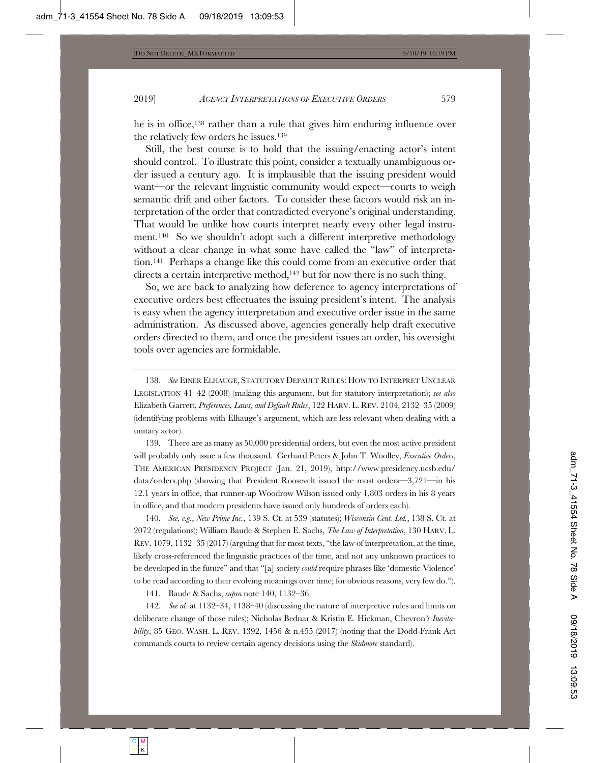he is in office,138 rather than a rule that gives him enduring influence over the relatively few orders he issues.139

Still, the best course is to hold that the issuing/enacting actor's intent should control. To illustrate this point, consider a textually unambiguous order issued a century ago. It is implausible that the issuing president would want—or the relevant linguistic community would expect—courts to weigh semantic drift and other factors. To consider these factors would risk an interpretation of the order that contradicted everyone's original understanding. That would be unlike how courts interpret nearly every other legal instrument.140 So we shouldn't adopt such a different interpretive methodology without a clear change in what some have called the "law" of interpretation.141 Perhaps a change like this could come from an executive order that directs a certain interpretive method,<sup>142</sup> but for now there is no such thing.

So, we are back to analyzing how deference to agency interpretations of executive orders best effectuates the issuing president's intent. The analysis is easy when the agency interpretation and executive order issue in the same administration. As discussed above, agencies generally help draft executive orders directed to them, and once the president issues an order, his oversight tools over agencies are formidable.

138. *See* EINER ELHAUGE, STATUTORY DEFAULT RULES: HOW TO INTERPRET UNCLEAR LEGISLATION 41–42 (2008) (making this argument, but for statutory interpretation); *see also* Elizabeth Garrett, *Preferences, Laws, and Default Rules*, 122 HARV. L. REV. 2104, 2132–35 (2009) (identifying problems with Elhauge's argument, which are less relevant when dealing with a unitary actor).

139. There are as many as 50,000 presidential orders, but even the most active president will probably only issue a few thousand. Gerhard Peters & John T. Woolley, *Executive Orders*, THE AMERICAN PRESIDENCY PROJECT (Jan. 21, 2019), http://www.presidency.ucsb.edu/ data/orders.php (showing that President Roosevelt issued the most orders—3,721—in his 12.1 years in office, that runner-up Woodrow Wilson issued only 1,803 orders in his 8 years in office, and that modern presidents have issued only hundreds of orders each).

140. *See, e.g.*, *New Prime Inc.*, 139 S. Ct. at 539 (statutes); *Wisconsin Cent. Ltd.*, 138 S. Ct. at 2072 (regulations); William Baude & Stephen E. Sachs, *The Law of Interpretation*, 130 HARV. L. REV. 1079, 1132–35 (2017) (arguing that for most texts, "the law of interpretation, at the time, likely cross-referenced the linguistic practices of the time, and not any unknown practices to be developed in the future" and that "[a] society *could* require phrases like 'domestic Violence' to be read according to their evolving meanings over time; for obvious reasons, very few do.").

141. Baude & Sachs, *supra* note 140, 1132–36.

142. *See id.* at 1132–34, 1138–40 (discussing the nature of interpretive rules and limits on deliberate change of those rules); Nicholas Bednar & Kristin E. Hickman, Chevron*'s Inevitability*, 85 GEO. WASH. L. REV. 1392, 1456 & n.455 (2017) (noting that the Dodd-Frank Act commands courts to review certain agency decisions using the *Skidmore* standard).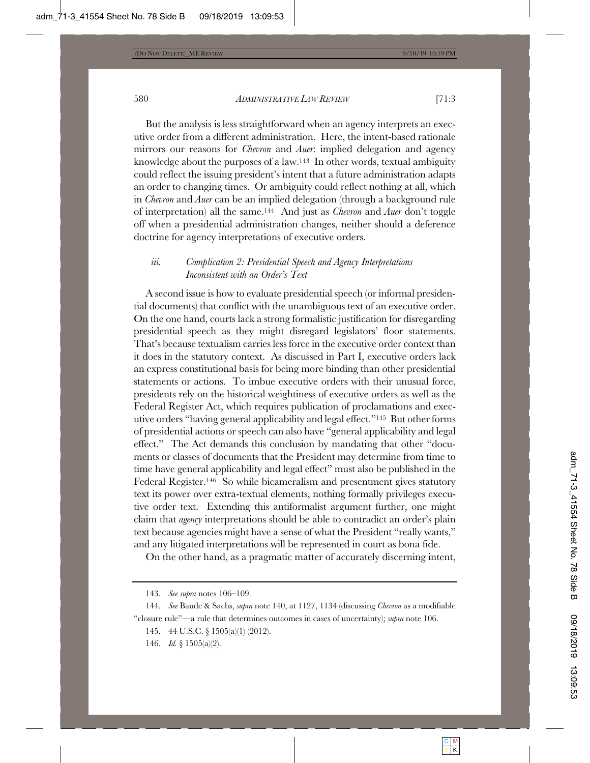But the analysis is less straightforward when an agency interprets an executive order from a different administration. Here, the intent-based rationale mirrors our reasons for *Chevron* and *Auer*: implied delegation and agency knowledge about the purposes of a law.143 In other words, textual ambiguity could reflect the issuing president's intent that a future administration adapts an order to changing times. Or ambiguity could reflect nothing at all, which in *Chevron* and *Auer* can be an implied delegation (through a background rule of interpretation) all the same.144 And just as *Chevron* and *Auer* don't toggle off when a presidential administration changes, neither should a deference doctrine for agency interpretations of executive orders.

# *iii. Complication 2: Presidential Speech and Agency Interpretations Inconsistent with an Order's Text*

A second issue is how to evaluate presidential speech (or informal presidential documents) that conflict with the unambiguous text of an executive order. On the one hand, courts lack a strong formalistic justification for disregarding presidential speech as they might disregard legislators' floor statements. That's because textualism carries less force in the executive order context than it does in the statutory context. As discussed in Part I, executive orders lack an express constitutional basis for being more binding than other presidential statements or actions. To imbue executive orders with their unusual force, presidents rely on the historical weightiness of executive orders as well as the Federal Register Act, which requires publication of proclamations and executive orders "having general applicability and legal effect."145 But other forms of presidential actions or speech can also have "general applicability and legal effect." The Act demands this conclusion by mandating that other "documents or classes of documents that the President may determine from time to time have general applicability and legal effect" must also be published in the Federal Register.146 So while bicameralism and presentment gives statutory text its power over extra-textual elements, nothing formally privileges executive order text. Extending this antiformalist argument further, one might claim that *agency* interpretations should be able to contradict an order's plain text because agencies might have a sense of what the President "really wants," and any litigated interpretations will be represented in court as bona fide.

On the other hand, as a pragmatic matter of accurately discerning intent,

- 145. 44 U.S.C. § 1505(a)(1) (2012).
- 146. *Id.* § 1505(a)(2).

<sup>143.</sup> *See supra* notes 106–109.

<sup>144.</sup> *See* Baude & Sachs, *supra* note 140, at 1127, 1134 (discussing *Chevron* as a modifiable "closure rule"—a rule that determines outcomes in cases of uncertainty); *supra* note 106.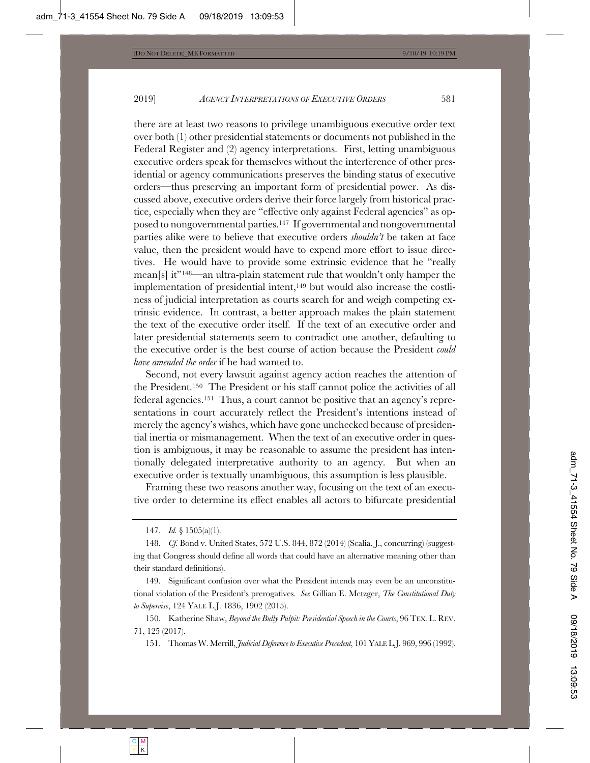there are at least two reasons to privilege unambiguous executive order text over both (1) other presidential statements or documents not published in the Federal Register and (2) agency interpretations. First, letting unambiguous executive orders speak for themselves without the interference of other presidential or agency communications preserves the binding status of executive orders—thus preserving an important form of presidential power. As discussed above, executive orders derive their force largely from historical practice, especially when they are "effective only against Federal agencies" as opposed to nongovernmental parties.147 If governmental and nongovernmental parties alike were to believe that executive orders *shouldn't* be taken at face value, then the president would have to expend more effort to issue directives. He would have to provide some extrinsic evidence that he "really mean[s] it"148—an ultra-plain statement rule that wouldn't only hamper the implementation of presidential intent,<sup>149</sup> but would also increase the costliness of judicial interpretation as courts search for and weigh competing extrinsic evidence. In contrast, a better approach makes the plain statement the text of the executive order itself. If the text of an executive order and later presidential statements seem to contradict one another, defaulting to the executive order is the best course of action because the President *could have amended the order* if he had wanted to.

Second, not every lawsuit against agency action reaches the attention of the President.150 The President or his staff cannot police the activities of all federal agencies.151 Thus, a court cannot be positive that an agency's representations in court accurately reflect the President's intentions instead of merely the agency's wishes, which have gone unchecked because of presidential inertia or mismanagement. When the text of an executive order in question is ambiguous, it may be reasonable to assume the president has intentionally delegated interpretative authority to an agency. But when an executive order is textually unambiguous, this assumption is less plausible.

Framing these two reasons another way, focusing on the text of an executive order to determine its effect enables all actors to bifurcate presidential

151. Thomas W. Merrill, *Judicial Deference to Executive Precedent*, 101 YALE L.J. 969, 996 (1992).

<sup>147.</sup> *Id.* § 1505(a)(1).

<sup>148.</sup> *Cf.* Bond v. United States, 572 U.S. 844, 872 (2014) (Scalia, J., concurring) (suggesting that Congress should define all words that could have an alternative meaning other than their standard definitions).

<sup>149.</sup> Significant confusion over what the President intends may even be an unconstitutional violation of the President's prerogatives. *See* Gillian E. Metzger, *The Constitutional Duty to Supervise*, 124 YALE L.J. 1836, 1902 (2015).

<sup>150.</sup> Katherine Shaw, *Beyond the Bully Pulpit: Presidential Speech in the Courts*, 96 TEX. L. REV. 71, 125 (2017).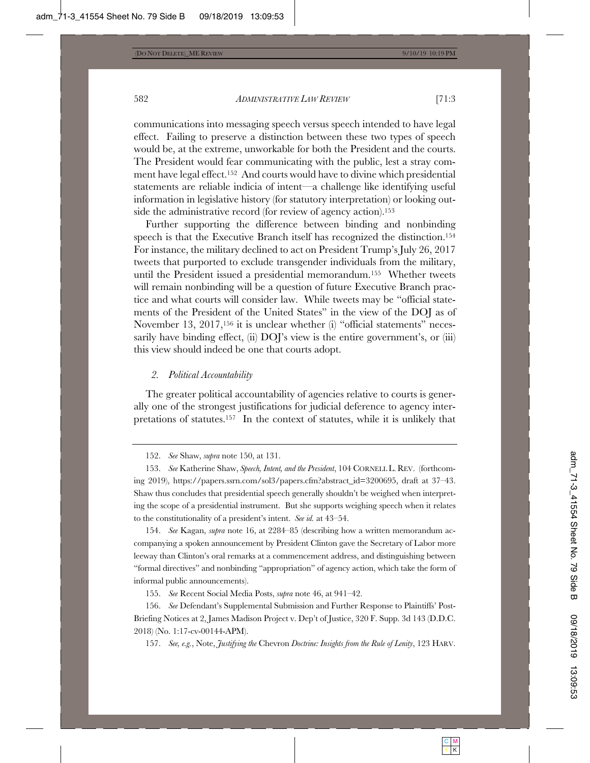communications into messaging speech versus speech intended to have legal effect. Failing to preserve a distinction between these two types of speech would be, at the extreme, unworkable for both the President and the courts. The President would fear communicating with the public, lest a stray comment have legal effect.152 And courts would have to divine which presidential statements are reliable indicia of intent—a challenge like identifying useful information in legislative history (for statutory interpretation) or looking outside the administrative record (for review of agency action).<sup>153</sup>

Further supporting the difference between binding and nonbinding speech is that the Executive Branch itself has recognized the distinction.154 For instance, the military declined to act on President Trump's July 26, 2017 tweets that purported to exclude transgender individuals from the military, until the President issued a presidential memorandum.155 Whether tweets will remain nonbinding will be a question of future Executive Branch practice and what courts will consider law. While tweets may be "official statements of the President of the United States" in the view of the DOJ as of November 13, 2017,<sup>156</sup> it is unclear whether (i) "official statements" necessarily have binding effect, (ii)  $DOYs$  view is the entire government's, or (iii) this view should indeed be one that courts adopt.

#### *2. Political Accountability*

The greater political accountability of agencies relative to courts is generally one of the strongest justifications for judicial deference to agency interpretations of statutes.157 In the context of statutes, while it is unlikely that

154. *See* Kagan, *supra* note 16, at 2284–85 (describing how a written memorandum accompanying a spoken announcement by President Clinton gave the Secretary of Labor more leeway than Clinton's oral remarks at a commencement address, and distinguishing between "formal directives" and nonbinding "appropriation" of agency action, which take the form of informal public announcements).

155. *See* Recent Social Media Posts, *supra* note 46, at 941–42.

156. *See* Defendant's Supplemental Submission and Further Response to Plaintiffs' Post-Briefing Notices at 2, James Madison Project v. Dep't of Justice, 320 F. Supp. 3d 143 (D.D.C. 2018) (No. 1:17-cv-00144-APM).

157. *See, e.g.*, Note, *Justifying the* Chevron *Doctrine: Insights from the Rule of Lenity*, 123 HARV.

<sup>152.</sup> *See* Shaw, *supra* note 150, at 131.

<sup>153.</sup> *See* Katherine Shaw, *Speech, Intent, and the President*, 104 CORNELL L. REV. (forthcoming 2019), https://papers.ssrn.com/sol3/papers.cfm?abstract\_id=3200695, draft at 37–43. Shaw thus concludes that presidential speech generally shouldn't be weighed when interpreting the scope of a presidential instrument. But she supports weighing speech when it relates to the constitutionality of a president's intent. *See id.* at 43–54.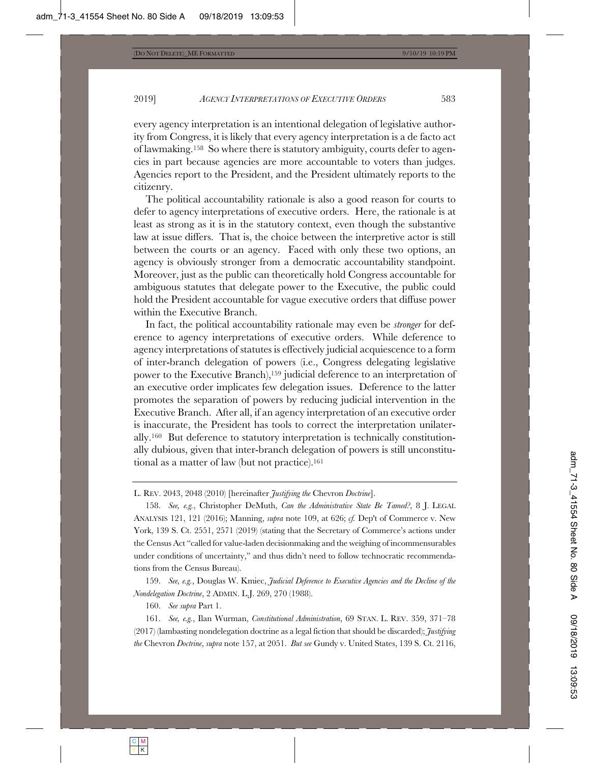every agency interpretation is an intentional delegation of legislative authority from Congress, it is likely that every agency interpretation is a de facto act of lawmaking.158 So where there is statutory ambiguity, courts defer to agencies in part because agencies are more accountable to voters than judges. Agencies report to the President, and the President ultimately reports to the citizenry.

The political accountability rationale is also a good reason for courts to defer to agency interpretations of executive orders. Here, the rationale is at least as strong as it is in the statutory context, even though the substantive law at issue differs. That is, the choice between the interpretive actor is still between the courts or an agency. Faced with only these two options, an agency is obviously stronger from a democratic accountability standpoint. Moreover, just as the public can theoretically hold Congress accountable for ambiguous statutes that delegate power to the Executive, the public could hold the President accountable for vague executive orders that diffuse power within the Executive Branch.

In fact, the political accountability rationale may even be *stronger* for deference to agency interpretations of executive orders. While deference to agency interpretations of statutes is effectively judicial acquiescence to a form of inter-branch delegation of powers (i.e., Congress delegating legislative power to the Executive Branch),159 judicial deference to an interpretation of an executive order implicates few delegation issues. Deference to the latter promotes the separation of powers by reducing judicial intervention in the Executive Branch. After all, if an agency interpretation of an executive order is inaccurate, the President has tools to correct the interpretation unilaterally.160 But deference to statutory interpretation is technically constitutionally dubious, given that inter-branch delegation of powers is still unconstitutional as a matter of law (but not practice).161

159. *See, e.g.*, Douglas W. Kmiec, *Judicial Deference to Executive Agencies and the Decline of the Nondelegation Doctrine*, 2 ADMIN. L.J. 269, 270 (1988).

160. *See supra* Part 1.

161. *See, e.g.*, Ilan Wurman, *Constitutional Administration*, 69 STAN. L. REV. 359, 371–78 (2017) (lambasting nondelegation doctrine as a legal fiction that should be discarded); *Justifying the* Chevron *Doctrine*, *supra* note 157, at 2051. *But see* Gundy v. United States, 139 S. Ct. 2116,

L. REV. 2043, 2048 (2010) [hereinafter *Justifying the* Chevron *Doctrine*].

<sup>158.</sup> *See, e.g.*, Christopher DeMuth, *Can the Administrative State Be Tamed?*, 8 J. LEGAL ANALYSIS 121, 121 (2016); Manning, *supra* note 109, at 626; *cf.* Dep't of Commerce v. New York, 139 S. Ct. 2551, 2571 (2019) (stating that the Secretary of Commerce's actions under the Census Act "called for value-laden decisionmaking and the weighing of incommensurables under conditions of uncertainty," and thus didn't need to follow technocratic recommendations from the Census Bureau).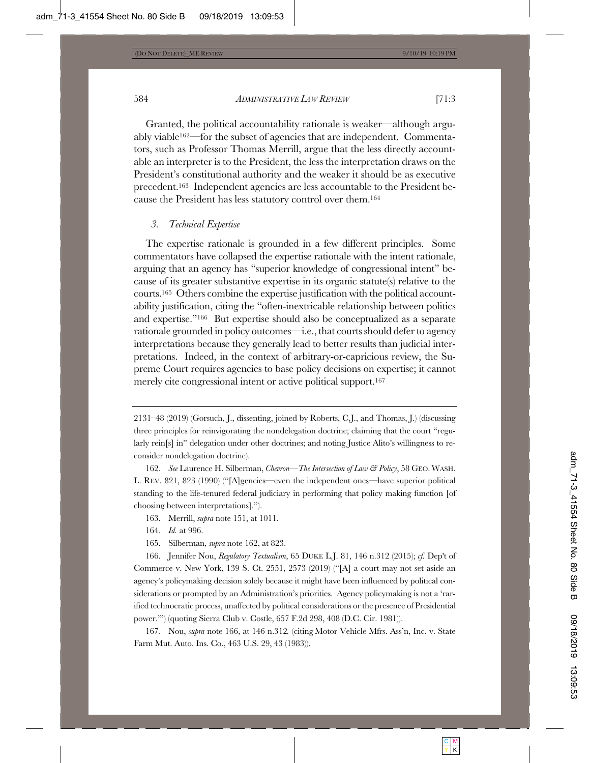Granted, the political accountability rationale is weaker—although arguably viable162—for the subset of agencies that are independent. Commentators, such as Professor Thomas Merrill, argue that the less directly accountable an interpreter is to the President, the less the interpretation draws on the President's constitutional authority and the weaker it should be as executive precedent.163 Independent agencies are less accountable to the President because the President has less statutory control over them.164

#### *3. Technical Expertise*

The expertise rationale is grounded in a few different principles. Some commentators have collapsed the expertise rationale with the intent rationale, arguing that an agency has "superior knowledge of congressional intent" because of its greater substantive expertise in its organic statute(s) relative to the courts.165 Others combine the expertise justification with the political accountability justification, citing the "often-inextricable relationship between politics and expertise."166 But expertise should also be conceptualized as a separate rationale grounded in policy outcomes—i.e., that courts should defer to agency interpretations because they generally lead to better results than judicial interpretations. Indeed, in the context of arbitrary-or-capricious review, the Supreme Court requires agencies to base policy decisions on expertise; it cannot merely cite congressional intent or active political support.167

- 163. Merrill, *supra* note 151, at 1011.
- 164. *Id.* at 996.
- 165. Silberman, *supra* note 162, at 823.

166. Jennifer Nou, *Regulatory Textualism*, 65 DUKE L.J. 81, 146 n.312 (2015); *cf.* Dep't of Commerce v. New York, 139 S. Ct. 2551, 2573 (2019) ("[A] a court may not set aside an agency's policymaking decision solely because it might have been influenced by political considerations or prompted by an Administration's priorities. Agency policymaking is not a 'rarified technocratic process, unaffected by political considerations or the presence of Presidential power.'") (quoting Sierra Club v. Costle, 657 F.2d 298, 408 (D.C. Cir. 1981)).

167*.* Nou, *supra* note 166, at 146 n.312*.* (citing Motor Vehicle Mfrs. Ass'n, Inc. v. State Farm Mut. Auto. Ins. Co., 463 U.S. 29, 43 (1983)).

<sup>2131–48 (2019) (</sup>Gorsuch, J., dissenting, joined by Roberts, C.J., and Thomas, J.) (discussing three principles for reinvigorating the nondelegation doctrine; claiming that the court "regularly rein[s] in" delegation under other doctrines; and noting Justice Alito's willingness to reconsider nondelegation doctrine).

<sup>162.</sup> *See* Laurence H. Silberman, *Chevron—The Intersection of Law & Policy*, 58 GEO. WASH. L. REV. 821, 823 (1990) ("[A]gencies—even the independent ones—have superior political standing to the life-tenured federal judiciary in performing that policy making function [of choosing between interpretations].").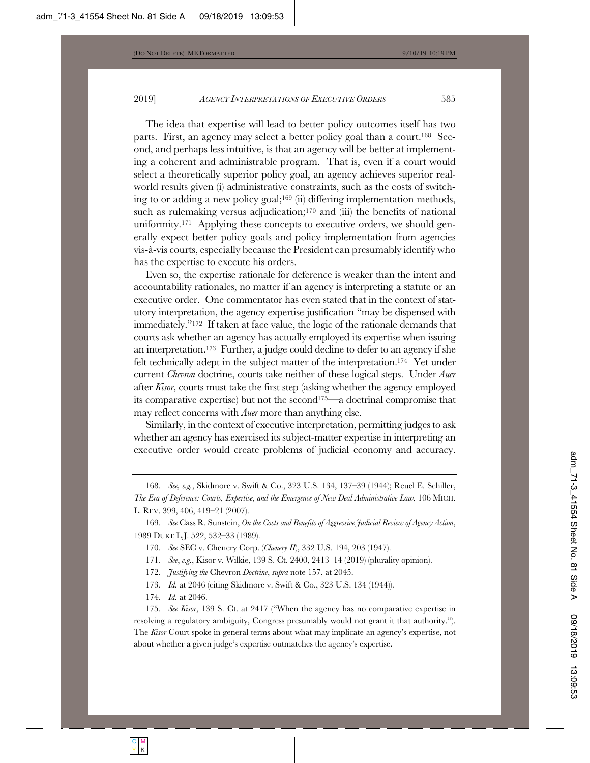2019] *AGENCY INTERPRETATIONS OF EXECUTIVE ORDERS* 585

The idea that expertise will lead to better policy outcomes itself has two parts. First, an agency may select a better policy goal than a court.168 Second, and perhaps less intuitive, is that an agency will be better at implementing a coherent and administrable program. That is, even if a court would select a theoretically superior policy goal, an agency achieves superior realworld results given (i) administrative constraints, such as the costs of switching to or adding a new policy goal;169 (ii) differing implementation methods, such as rulemaking versus adjudication;<sup>170</sup> and (iii) the benefits of national uniformity.<sup>171</sup> Applying these concepts to executive orders, we should generally expect better policy goals and policy implementation from agencies vis-à-vis courts, especially because the President can presumably identify who has the expertise to execute his orders.

Even so, the expertise rationale for deference is weaker than the intent and accountability rationales, no matter if an agency is interpreting a statute or an executive order. One commentator has even stated that in the context of statutory interpretation, the agency expertise justification "may be dispensed with immediately."172 If taken at face value, the logic of the rationale demands that courts ask whether an agency has actually employed its expertise when issuing an interpretation.173 Further, a judge could decline to defer to an agency if she felt technically adept in the subject matter of the interpretation.174 Yet under current *Chevron* doctrine, courts take neither of these logical steps. Under *Auer* after *Kisor*, courts must take the first step (asking whether the agency employed its comparative expertise) but not the second175—a doctrinal compromise that may reflect concerns with *Auer* more than anything else.

Similarly, in the context of executive interpretation, permitting judges to ask whether an agency has exercised its subject-matter expertise in interpreting an executive order would create problems of judicial economy and accuracy.

169. *See* Cass R. Sunstein, *On the Costs and Benefits of Aggressive Judicial Review of Agency Action*, 1989 DUKE L.J. 522, 532–33 (1989).

170. *See* SEC v. Chenery Corp. (*Chenery II*), 332 U.S. 194, 203 (1947).

171*. See*, *e.g.*, Kisor v. Wilkie, 139 S. Ct. 2400, 2413–14 (2019) (plurality opinion).

172. *Justifying the* Chevron *Doctrine*, *supra* note 157, at 2045.

173. *Id.* at 2046 (citing Skidmore v. Swift & Co., 323 U.S. 134 (1944)).

174. *Id.* at 2046.

175. *See Kisor*, 139 S. Ct. at 2417 ("When the agency has no comparative expertise in resolving a regulatory ambiguity, Congress presumably would not grant it that authority."). The *Kisor* Court spoke in general terms about what may implicate an agency's expertise, not about whether a given judge's expertise outmatches the agency's expertise.

<sup>168.</sup> *See, e.g.*, Skidmore v. Swift & Co., 323 U.S. 134, 137–39 (1944); Reuel E. Schiller, *The Era of Deference: Courts, Expertise, and the Emergence of New Deal Administrative Law*, 106 MICH. L. REV. 399, 406, 419–21 (2007).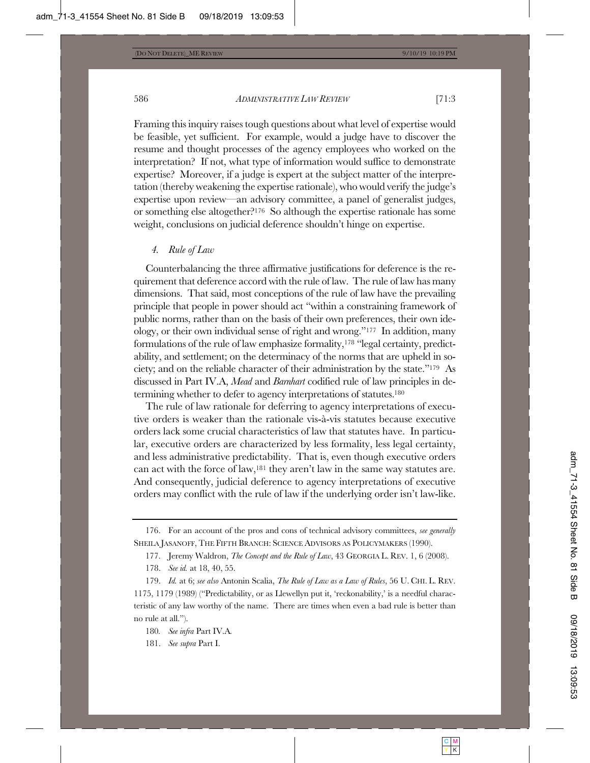Framing this inquiry raises tough questions about what level of expertise would be feasible, yet sufficient. For example, would a judge have to discover the resume and thought processes of the agency employees who worked on the interpretation? If not, what type of information would suffice to demonstrate expertise? Moreover, if a judge is expert at the subject matter of the interpretation (thereby weakening the expertise rationale), who would verify the judge's expertise upon review—an advisory committee, a panel of generalist judges, or something else altogether?176 So although the expertise rationale has some weight, conclusions on judicial deference shouldn't hinge on expertise.

#### *4. Rule of Law*

Counterbalancing the three affirmative justifications for deference is the requirement that deference accord with the rule of law. The rule of law has many dimensions. That said, most conceptions of the rule of law have the prevailing principle that people in power should act "within a constraining framework of public norms, rather than on the basis of their own preferences, their own ideology, or their own individual sense of right and wrong."177 In addition, many formulations of the rule of law emphasize formality,178 "legal certainty, predictability, and settlement; on the determinacy of the norms that are upheld in society; and on the reliable character of their administration by the state."179 As discussed in Part IV.A, *Mead* and *Barnhart* codified rule of law principles in determining whether to defer to agency interpretations of statutes.180

The rule of law rationale for deferring to agency interpretations of executive orders is weaker than the rationale vis-à-vis statutes because executive orders lack some crucial characteristics of law that statutes have. In particular, executive orders are characterized by less formality, less legal certainty, and less administrative predictability. That is, even though executive orders can act with the force of law,181 they aren't law in the same way statutes are. And consequently, judicial deference to agency interpretations of executive orders may conflict with the rule of law if the underlying order isn't law-like.

181. *See supra* Part I.

<sup>176.</sup> For an account of the pros and cons of technical advisory committees, *see generally* SHEILA JASANOFF, THE FIFTH BRANCH: SCIENCE ADVISORS AS POLICYMAKERS (1990).

<sup>177.</sup> Jeremy Waldron, *The Concept and the Rule of Law*, 43 GEORGIA L. REV. 1, 6 (2008).

<sup>178.</sup> *See id.* at 18, 40, 55.

<sup>179.</sup> *Id.* at 6; *see also* Antonin Scalia, *The Rule of Law as a Law of Rules*, 56 U. CHI. L. REV. 1175, 1179 (1989) ("Predictability, or as Llewellyn put it, 'reckonability,' is a needful characteristic of any law worthy of the name. There are times when even a bad rule is better than no rule at all.").

<sup>180</sup>*. See infra* Part IV.A*.*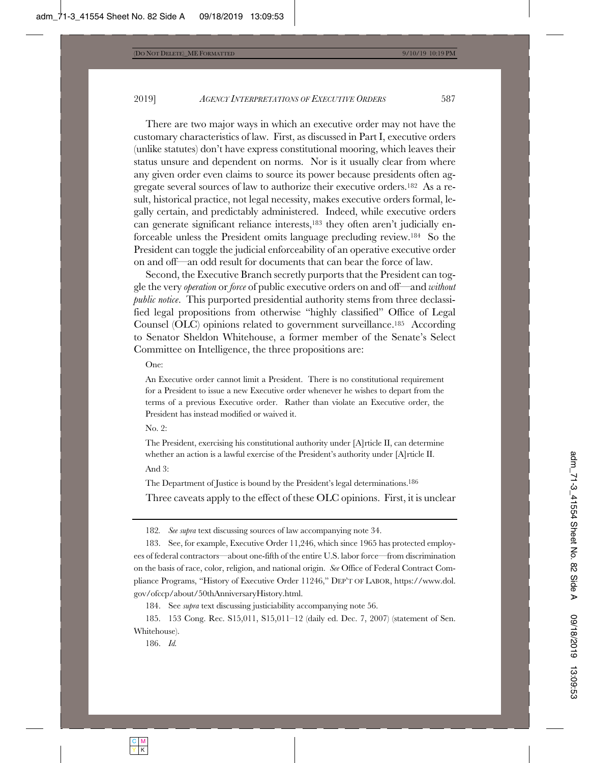There are two major ways in which an executive order may not have the customary characteristics of law. First, as discussed in Part I, executive orders (unlike statutes) don't have express constitutional mooring, which leaves their status unsure and dependent on norms. Nor is it usually clear from where any given order even claims to source its power because presidents often aggregate several sources of law to authorize their executive orders.182 As a result, historical practice, not legal necessity, makes executive orders formal, legally certain, and predictably administered. Indeed, while executive orders can generate significant reliance interests,183 they often aren't judicially enforceable unless the President omits language precluding review.184 So the President can toggle the judicial enforceability of an operative executive order on and off—an odd result for documents that can bear the force of law.

Second, the Executive Branch secretly purports that the President can toggle the very *operation* or *force* of public executive orders on and off—and *without public notice*. This purported presidential authority stems from three declassified legal propositions from otherwise "highly classified" Office of Legal Counsel (OLC) opinions related to government surveillance.185 According to Senator Sheldon Whitehouse, a former member of the Senate's Select Committee on Intelligence, the three propositions are:

One:

An Executive order cannot limit a President. There is no constitutional requirement for a President to issue a new Executive order whenever he wishes to depart from the terms of a previous Executive order. Rather than violate an Executive order, the President has instead modified or waived it.

No. 2:

The President, exercising his constitutional authority under [A]rticle II, can determine whether an action is a lawful exercise of the President's authority under [A]rticle II. And 3:

The Department of Justice is bound by the President's legal determinations.186

Three caveats apply to the effect of these OLC opinions. First, it is unclear

182*. See supra* text discussing sources of law accompanying note 34.

183. See, for example, Executive Order 11,246, which since 1965 has protected employees of federal contractors—about one-fifth of the entire U.S. labor force—from discrimination on the basis of race, color, religion, and national origin. *See* Office of Federal Contract Compliance Programs, "History of Executive Order 11246," DEP'T OF LABOR, https://www.dol. gov/ofccp/about/50thAnniversaryHistory.html.

184. See *supra* text discussing justiciability accompanying note 56.

185. 153 Cong. Rec. S15,011, S15,011–12 (daily ed. Dec. 7, 2007) (statement of Sen. Whitehouse).

186. *Id.*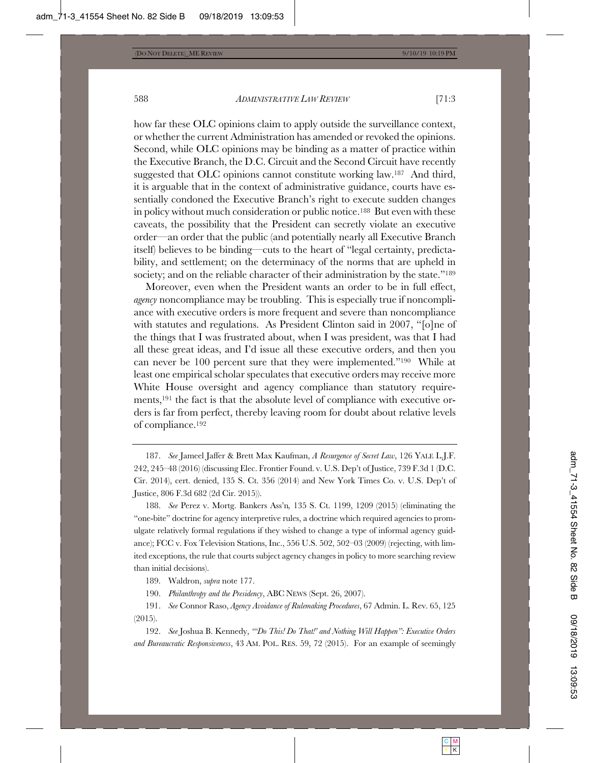how far these OLC opinions claim to apply outside the surveillance context, or whether the current Administration has amended or revoked the opinions. Second, while OLC opinions may be binding as a matter of practice within the Executive Branch, the D.C. Circuit and the Second Circuit have recently suggested that OLC opinions cannot constitute working law.187 And third, it is arguable that in the context of administrative guidance, courts have essentially condoned the Executive Branch's right to execute sudden changes in policy without much consideration or public notice.188 But even with these caveats, the possibility that the President can secretly violate an executive order—an order that the public (and potentially nearly all Executive Branch itself) believes to be binding—cuts to the heart of "legal certainty, predictability, and settlement; on the determinacy of the norms that are upheld in society; and on the reliable character of their administration by the state."<sup>189</sup>

Moreover, even when the President wants an order to be in full effect, *agency* noncompliance may be troubling. This is especially true if noncompliance with executive orders is more frequent and severe than noncompliance with statutes and regulations. As President Clinton said in 2007, "[o]ne of the things that I was frustrated about, when I was president, was that I had all these great ideas, and I'd issue all these executive orders, and then you can never be 100 percent sure that they were implemented."190 While at least one empirical scholar speculates that executive orders may receive more White House oversight and agency compliance than statutory requirements,191 the fact is that the absolute level of compliance with executive orders is far from perfect, thereby leaving room for doubt about relative levels of compliance.192

189. Waldron, *supra* note 177.

190. *Philanthropy and the Presidency*, ABC NEWS (Sept. 26, 2007).

191. *See* Connor Raso, *Agency Avoidance of Rulemaking Procedures*, 67 Admin. L. Rev. 65, 125 (2015).

192. *See* Joshua B. Kennedy, *"'Do This! Do That!' and Nothing Will Happen": Executive Orders and Bureaucratic Responsiveness*, 43 AM. POL. RES. 59, 72 (2015). For an example of seemingly

<sup>187.</sup> *See* Jameel Jaffer & Brett Max Kaufman, *A Resurgence of Secret Law*, 126 YALE L.J.F. 242, 245–48 (2016) (discussing Elec. Frontier Found. v. U.S. Dep't of Justice, 739 F.3d 1 (D.C. Cir. 2014), cert. denied, 135 S. Ct. 356 (2014) and New York Times Co. v. U.S. Dep't of Justice, 806 F.3d 682 (2d Cir. 2015)).

<sup>188.</sup> *See* Perez v. Mortg. Bankers Ass'n*,* 135 S. Ct. 1199, 1209 (2015) (eliminating the "one-bite" doctrine for agency interpretive rules, a doctrine which required agencies to promulgate relatively formal regulations if they wished to change a type of informal agency guidance); FCC v. Fox Television Stations, Inc., 556 U.S. 502, 502–03 (2009) (rejecting, with limited exceptions, the rule that courts subject agency changes in policy to more searching review than initial decisions).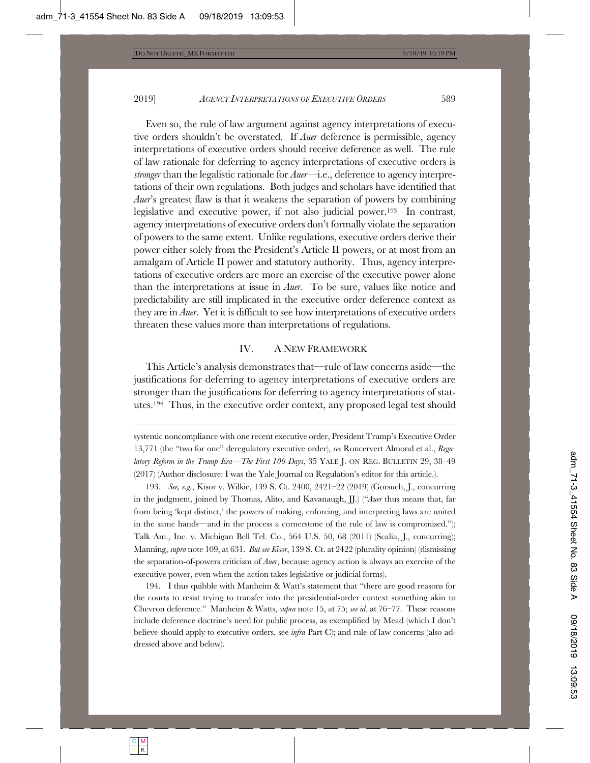2019] *AGENCY INTERPRETATIONS OF EXECUTIVE ORDERS* 589

Even so, the rule of law argument against agency interpretations of executive orders shouldn't be overstated. If *Auer* deference is permissible, agency interpretations of executive orders should receive deference as well. The rule of law rationale for deferring to agency interpretations of executive orders is *stronger* than the legalistic rationale for *Auer*—i.e., deference to agency interpretations of their own regulations. Both judges and scholars have identified that *Auer*'s greatest flaw is that it weakens the separation of powers by combining legislative and executive power, if not also judicial power.193 In contrast, agency interpretations of executive orders don't formally violate the separation of powers to the same extent. Unlike regulations, executive orders derive their power either solely from the President's Article II powers, or at most from an amalgam of Article II power and statutory authority. Thus, agency interpretations of executive orders are more an exercise of the executive power alone than the interpretations at issue in *Auer*. To be sure, values like notice and predictability are still implicated in the executive order deference context as they are in *Auer*. Yet it is difficult to see how interpretations of executive orders threaten these values more than interpretations of regulations.

#### IV. A NEW FRAMEWORK

This Article's analysis demonstrates that—rule of law concerns aside—the justifications for deferring to agency interpretations of executive orders are stronger than the justifications for deferring to agency interpretations of statutes.194 Thus, in the executive order context, any proposed legal test should

194. I thus quibble with Manheim & Watt's statement that "there are good reasons for the courts to resist trying to transfer into the presidential-order context something akin to Chevron deference." Manheim & Watts, *supra* note 15, at 75; *see id.* at 76–77. These reasons include deference doctrine's need for public process, as exemplified by Mead (which I don't believe should apply to executive orders, see *infra* Part C); and rule of law concerns (also addressed above and below).

systemic noncompliance with one recent executive order, President Trump's Executive Order 13,771 (the "two for one" deregulatory executive order), *see* Roncervert Almond et al., *Regulatory Reform in the Trump Era—The First 100 Days*, 35 YALE J. ON REG. BULLETIN 29, 38-49 (2017) (Author disclosure: I was the Yale Journal on Regulation's editor for this article.).

<sup>193.</sup> *See, e.g.*, Kisor v. Wilkie, 139 S. Ct. 2400, 2421–22 (2019) (Gorsuch, J., concurring in the judgment, joined by Thomas, Alito, and Kavanaugh, JJ.) ("*Auer* thus means that, far from being 'kept distinct,' the powers of making, enforcing, and interpreting laws are united in the same hands—and in the process a cornerstone of the rule of law is compromised."); Talk Am., Inc. v. Michigan Bell Tel. Co., 564 U.S. 50, 68 (2011) (Scalia, J., concurring); Manning, *supra* note 109, at 631. *But see Kisor*, 139 S. Ct. at 2422 (plurality opinion) (dismissing the separation-of-powers criticism of *Auer*, because agency action is always an exercise of the executive power, even when the action takes legislative or judicial forms).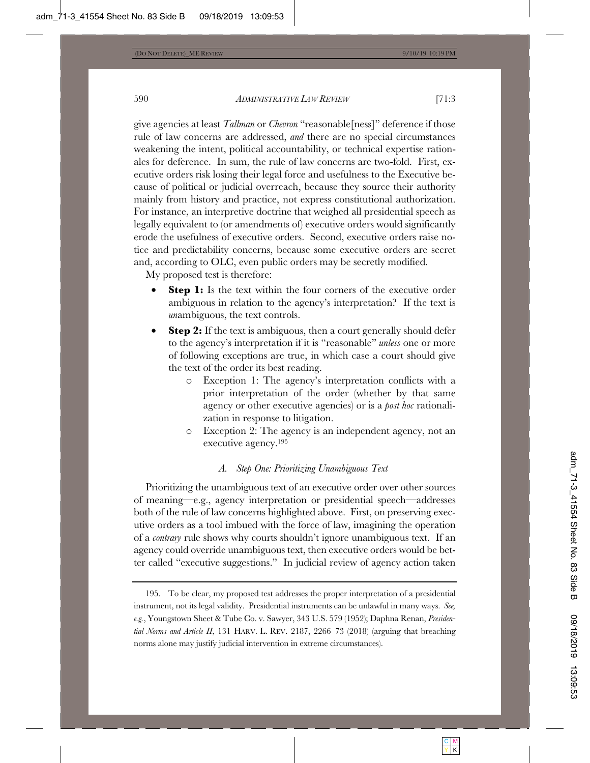give agencies at least *Tallman* or *Chevron* "reasonable[ness]" deference if those rule of law concerns are addressed, *and* there are no special circumstances weakening the intent, political accountability, or technical expertise rationales for deference. In sum, the rule of law concerns are two-fold. First, executive orders risk losing their legal force and usefulness to the Executive because of political or judicial overreach, because they source their authority mainly from history and practice, not express constitutional authorization. For instance, an interpretive doctrine that weighed all presidential speech as legally equivalent to (or amendments of) executive orders would significantly erode the usefulness of executive orders. Second, executive orders raise notice and predictability concerns, because some executive orders are secret and, according to OLC, even public orders may be secretly modified.

My proposed test is therefore:

- **Step 1:** Is the text within the four corners of the executive order ambiguous in relation to the agency's interpretation? If the text is *un*ambiguous, the text controls.
- **Step 2:** If the text is ambiguous, then a court generally should defer to the agency's interpretation if it is "reasonable" *unless* one or more of following exceptions are true, in which case a court should give the text of the order its best reading.
	- o Exception 1: The agency's interpretation conflicts with a prior interpretation of the order (whether by that same agency or other executive agencies) or is a *post hoc* rationalization in response to litigation.
	- o Exception 2: The agency is an independent agency, not an executive agency.195

# *A. Step One: Prioritizing Unambiguous Text*

Prioritizing the unambiguous text of an executive order over other sources of meaning—e.g., agency interpretation or presidential speech—addresses both of the rule of law concerns highlighted above. First, on preserving executive orders as a tool imbued with the force of law, imagining the operation of a *contrary* rule shows why courts shouldn't ignore unambiguous text. If an agency could override unambiguous text, then executive orders would be better called "executive suggestions." In judicial review of agency action taken

<sup>195.</sup> To be clear, my proposed test addresses the proper interpretation of a presidential instrument, not its legal validity. Presidential instruments can be unlawful in many ways. *See, e.g.*, Youngstown Sheet & Tube Co. v. Sawyer, 343 U.S. 579 (1952); Daphna Renan, *Presidential Norms and Article II*, 131 HARV. L. REV. 2187, 2266–73 (2018) (arguing that breaching norms alone may justify judicial intervention in extreme circumstances).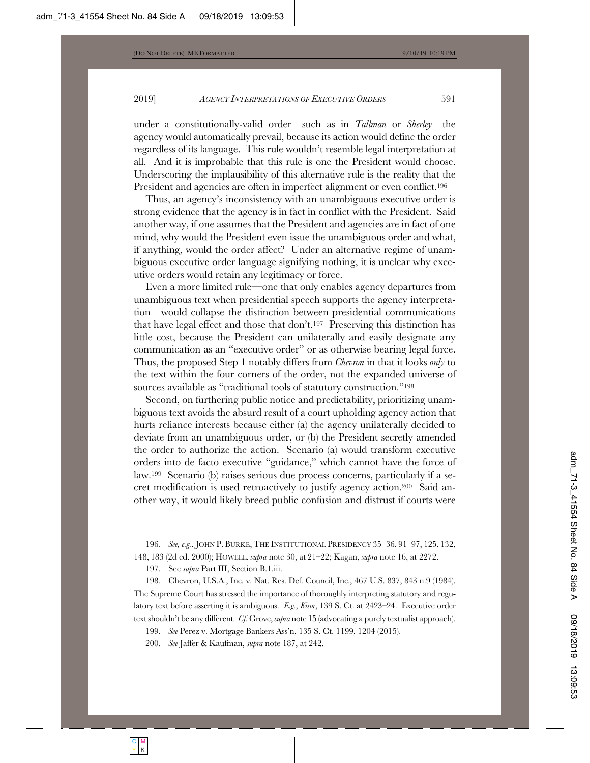under a constitutionally-valid order—such as in *Tallman* or *Sherley*—the agency would automatically prevail, because its action would define the order regardless of its language. This rule wouldn't resemble legal interpretation at all. And it is improbable that this rule is one the President would choose. Underscoring the implausibility of this alternative rule is the reality that the President and agencies are often in imperfect alignment or even conflict.<sup>196</sup>

Thus, an agency's inconsistency with an unambiguous executive order is strong evidence that the agency is in fact in conflict with the President. Said another way, if one assumes that the President and agencies are in fact of one mind, why would the President even issue the unambiguous order and what, if anything, would the order affect? Under an alternative regime of unambiguous executive order language signifying nothing, it is unclear why executive orders would retain any legitimacy or force.

Even a more limited rule—one that only enables agency departures from unambiguous text when presidential speech supports the agency interpretation—would collapse the distinction between presidential communications that have legal effect and those that don't.197 Preserving this distinction has little cost, because the President can unilaterally and easily designate any communication as an "executive order" or as otherwise bearing legal force. Thus, the proposed Step 1 notably differs from *Chevron* in that it looks *only* to the text within the four corners of the order, not the expanded universe of sources available as "traditional tools of statutory construction."198

Second, on furthering public notice and predictability, prioritizing unambiguous text avoids the absurd result of a court upholding agency action that hurts reliance interests because either (a) the agency unilaterally decided to deviate from an unambiguous order, or (b) the President secretly amended the order to authorize the action. Scenario (a) would transform executive orders into de facto executive "guidance," which cannot have the force of law.199 Scenario (b) raises serious due process concerns, particularly if a secret modification is used retroactively to justify agency action.200 Said another way, it would likely breed public confusion and distrust if courts were

<sup>196</sup>*. See, e.g.*, JOHN P. BURKE, THE INSTITUTIONAL PRESIDENCY 35–36, 91–97, 125, 132, 148, 183 (2d ed. 2000); HOWELL, *supra* note 30, at 21–22; Kagan, *supra* note 16, at 2272.

<sup>197.</sup> See *supra* Part III, Section B.1.iii.

<sup>198</sup>*.* Chevron, U.S.A., Inc. v. Nat. Res. Def. Council, Inc., 467 U.S. 837, 843 n.9 (1984). The Supreme Court has stressed the importance of thoroughly interpreting statutory and regulatory text before asserting it is ambiguous. *E.g.*, *Kisor*, 139 S. Ct. at 2423–24. Executive order text shouldn't be any different. *Cf.* Grove, *supra* note 15 (advocating a purely textualist approach).

<sup>199.</sup> *See* Perez v. Mortgage Bankers Ass'n, 135 S. Ct. 1199, 1204 (2015).

<sup>200.</sup> *See* Jaffer & Kaufman, *supra* note 187, at 242.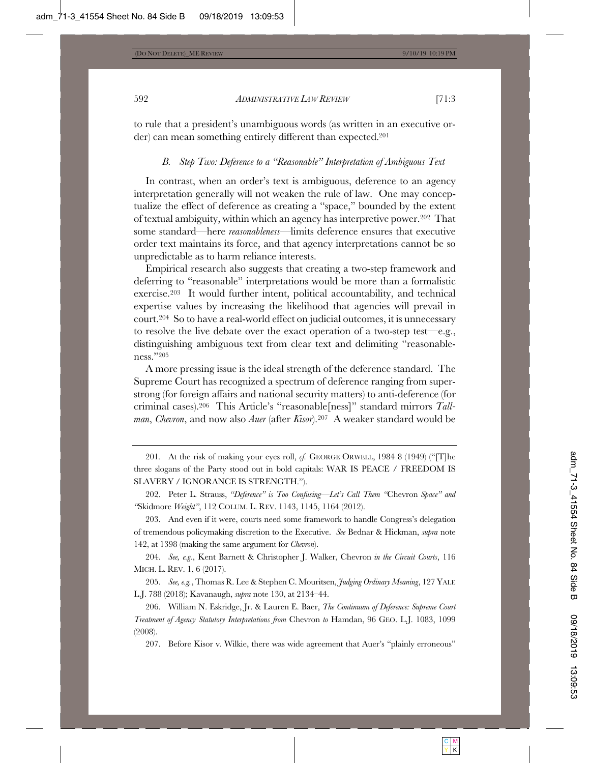to rule that a president's unambiguous words (as written in an executive order) can mean something entirely different than expected.201

#### *B. Step Two: Deference to a "Reasonable" Interpretation of Ambiguous Text*

In contrast, when an order's text is ambiguous, deference to an agency interpretation generally will not weaken the rule of law. One may conceptualize the effect of deference as creating a "space," bounded by the extent of textual ambiguity, within which an agency has interpretive power.202 That some standard—here *reasonableness*—limits deference ensures that executive order text maintains its force, and that agency interpretations cannot be so unpredictable as to harm reliance interests.

Empirical research also suggests that creating a two-step framework and deferring to "reasonable" interpretations would be more than a formalistic exercise.203 It would further intent, political accountability, and technical expertise values by increasing the likelihood that agencies will prevail in court.204 So to have a real-world effect on judicial outcomes, it is unnecessary to resolve the live debate over the exact operation of a two-step test—e.g., distinguishing ambiguous text from clear text and delimiting "reasonableness."205

A more pressing issue is the ideal strength of the deference standard. The Supreme Court has recognized a spectrum of deference ranging from superstrong (for foreign affairs and national security matters) to anti-deference (for criminal cases).206 This Article's "reasonable[ness]" standard mirrors *Tallman*, *Chevron*, and now also *Auer* (after *Kisor*).207 A weaker standard would be

201*.* At the risk of making your eyes roll, *cf.* GEORGE ORWELL, 1984 8 (1949) ("[T]he three slogans of the Party stood out in bold capitals: WAR IS PEACE / FREEDOM IS SLAVERY / IGNORANCE IS STRENGTH.").

202. Peter L. Strauss, *"Deference" is Too Confusing—Let's Call Them "*Chevron *Space" and "*Skidmore *Weight"*, 112 COLUM. L. REV. 1143, 1145, 1164 (2012).

203. And even if it were, courts need some framework to handle Congress's delegation of tremendous policymaking discretion to the Executive. *See* Bednar & Hickman, *supra* note 142, at 1398 (making the same argument for *Chevron*).

204. *See, e.g.*, Kent Barnett & Christopher J. Walker, Chevron *in the Circuit Courts*, 116 MICH. L. REV. 1, 6 (2017).

205. *See, e.g.*, Thomas R. Lee & Stephen C. Mouritsen, *Judging Ordinary Meaning*, 127 YALE L.J. 788 (2018); Kavanaugh, *supra* note 130, at 2134–44.

206. William N. Eskridge, Jr. & Lauren E. Baer, *The Continuum of Deference: Supreme Court Treatment of Agency Statutory Interpretations from* Chevron *to* Hamdan, 96 GEO. L.J. 1083, 1099 (2008).

207. Before Kisor v. Wilkie, there was wide agreement that Auer's "plainly erroneous"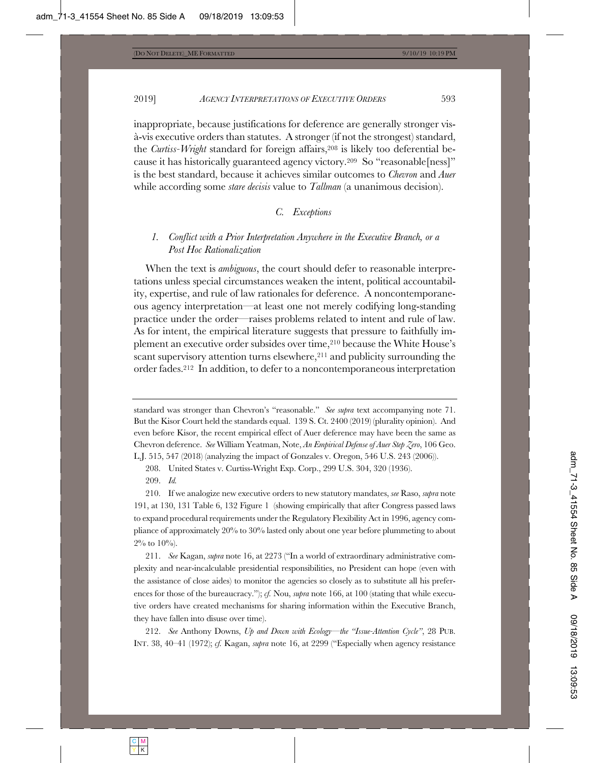inappropriate, because justifications for deference are generally stronger visà-vis executive orders than statutes. A stronger (if not the strongest) standard, the *Curtiss-Wright* standard for foreign affairs,<sup>208</sup> is likely too deferential because it has historically guaranteed agency victory.209 So "reasonable[ness]" is the best standard, because it achieves similar outcomes to *Chevron* and *Auer* while according some *stare decisis* value to *Tallman* (a unanimous decision).

# *C. Exceptions*

# *1. Conflict with a Prior Interpretation Anywhere in the Executive Branch, or a Post Hoc Rationalization*

When the text is *ambiguous*, the court should defer to reasonable interpretations unless special circumstances weaken the intent, political accountability, expertise, and rule of law rationales for deference. A noncontemporaneous agency interpretation—at least one not merely codifying long-standing practice under the order—raises problems related to intent and rule of law. As for intent, the empirical literature suggests that pressure to faithfully implement an executive order subsides over time,210 because the White House's scant supervisory attention turns elsewhere,<sup>211</sup> and publicity surrounding the order fades.212 In addition, to defer to a noncontemporaneous interpretation

212. *See* Anthony Downs, *Up and Down with Ecology—the "Issue-Attention Cycle"*, 28 PUB. INT. 38, 40–41 (1972); *cf.* Kagan, *supra* note 16, at 2299 ("Especially when agency resistance

standard was stronger than Chevron's "reasonable." *See supra* text accompanying note 71. But the Kisor Court held the standards equal. 139 S. Ct. 2400 (2019) (plurality opinion). And even before Kisor, the recent empirical effect of Auer deference may have been the same as Chevron deference. *See* William Yeatman, Note, *An Empirical Defense of Auer Step Zero*, 106 Geo. L.J. 515, 547 (2018) (analyzing the impact of Gonzales v. Oregon, 546 U.S. 243 (2006)).

<sup>208.</sup> United States v. Curtiss-Wright Exp. Corp., 299 U.S. 304, 320 (1936).

<sup>209.</sup> *Id.*

<sup>210.</sup> If we analogize new executive orders to new statutory mandates, *see* Raso, *supra* note 191, at 130, 131 Table 6, 132 Figure 1 (showing empirically that after Congress passed laws to expand procedural requirements under the Regulatory Flexibility Act in 1996, agency compliance of approximately 20% to 30% lasted only about one year before plummeting to about  $2\%$  to  $10\%$ ).

<sup>211.</sup> *See* Kagan, *supra* note 16, at 2273 ("In a world of extraordinary administrative complexity and near-incalculable presidential responsibilities, no President can hope (even with the assistance of close aides) to monitor the agencies so closely as to substitute all his preferences for those of the bureaucracy."); *cf.* Nou, *supra* note 166, at 100 (stating that while executive orders have created mechanisms for sharing information within the Executive Branch, they have fallen into disuse over time).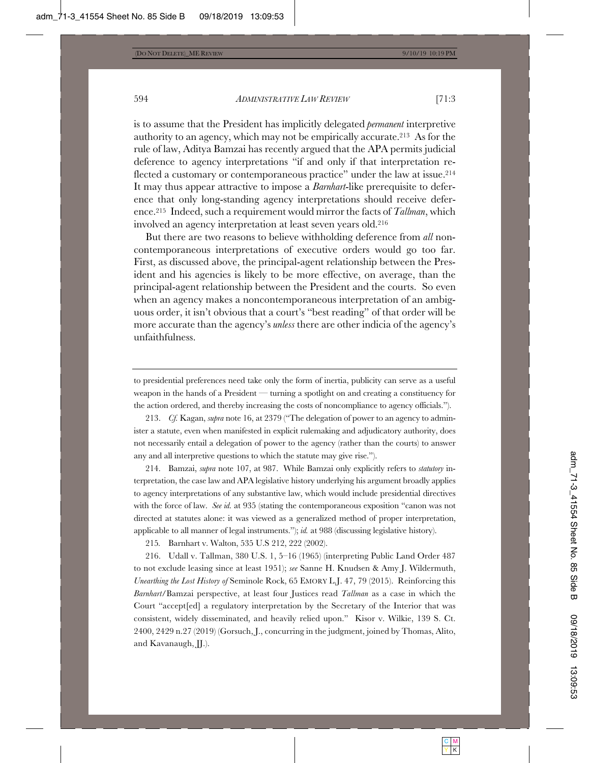is to assume that the President has implicitly delegated *permanent* interpretive authority to an agency, which may not be empirically accurate.213 As for the rule of law, Aditya Bamzai has recently argued that the APA permits judicial deference to agency interpretations "if and only if that interpretation reflected a customary or contemporaneous practice" under the law at issue.<sup>214</sup> It may thus appear attractive to impose a *Barnhart*-like prerequisite to deference that only long-standing agency interpretations should receive deference.215 Indeed, such a requirement would mirror the facts of *Tallman*, which involved an agency interpretation at least seven years old.216

But there are two reasons to believe withholding deference from *all* noncontemporaneous interpretations of executive orders would go too far. First, as discussed above, the principal-agent relationship between the President and his agencies is likely to be more effective, on average, than the principal-agent relationship between the President and the courts. So even when an agency makes a noncontemporaneous interpretation of an ambiguous order, it isn't obvious that a court's "best reading" of that order will be more accurate than the agency's *unless* there are other indicia of the agency's unfaithfulness.

to presidential preferences need take only the form of inertia, publicity can serve as a useful weapon in the hands of a President — turning a spotlight on and creating a constituency for the action ordered, and thereby increasing the costs of noncompliance to agency officials.").

213. *Cf.* Kagan, *supra* note 16, at 2379 ("The delegation of power to an agency to administer a statute, even when manifested in explicit rulemaking and adjudicatory authority, does not necessarily entail a delegation of power to the agency (rather than the courts) to answer any and all interpretive questions to which the statute may give rise.").

214. Bamzai, *supra* note 107, at 987. While Bamzai only explicitly refers to *statutory* interpretation, the case law and APA legislative history underlying his argument broadly applies to agency interpretations of any substantive law, which would include presidential directives with the force of law. *See id.* at 935 (stating the contemporaneous exposition "canon was not directed at statutes alone: it was viewed as a generalized method of proper interpretation, applicable to all manner of legal instruments."); *id.* at 988 (discussing legislative history).

215*.* Barnhart v. Walton, 535 U.S 212, 222 (2002).

216. Udall v. Tallman, 380 U.S. 1, 5–16 (1965) (interpreting Public Land Order 487 to not exclude leasing since at least 1951); *see* Sanne H. Knudsen & Amy J. Wildermuth, *Unearthing the Lost History of* Seminole Rock, 65 EMORY L.J. 47, 79 (2015). Reinforcing this *Barnhart*/Bamzai perspective, at least four Justices read *Tallman* as a case in which the Court "accept[ed] a regulatory interpretation by the Secretary of the Interior that was consistent, widely disseminated, and heavily relied upon." Kisor v. Wilkie, 139 S. Ct. 2400, 2429 n.27 (2019) (Gorsuch, J., concurring in the judgment, joined by Thomas, Alito, and Kavanaugh, JJ.).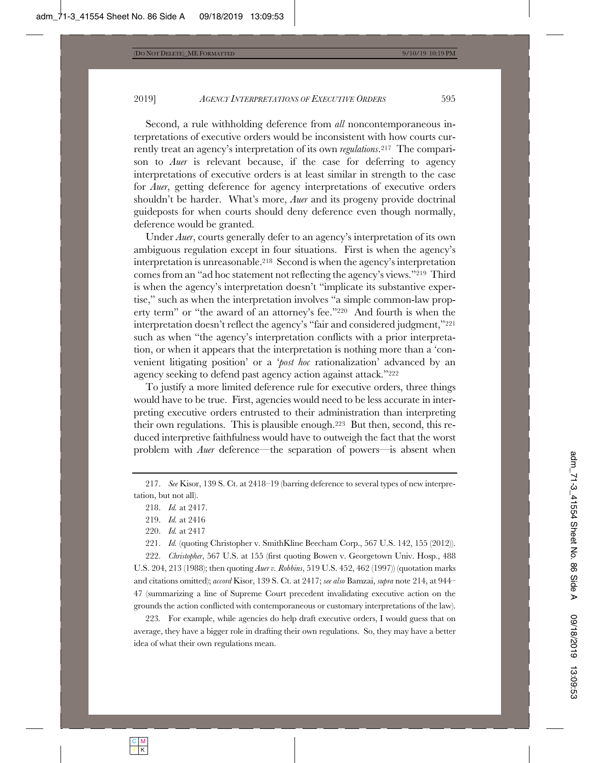Second, a rule withholding deference from *all* noncontemporaneous interpretations of executive orders would be inconsistent with how courts currently treat an agency's interpretation of its own *regulations*.217 The comparison to *Auer* is relevant because, if the case for deferring to agency interpretations of executive orders is at least similar in strength to the case for *Auer*, getting deference for agency interpretations of executive orders shouldn't be harder. What's more, *Auer* and its progeny provide doctrinal guideposts for when courts should deny deference even though normally, deference would be granted.

Under *Auer*, courts generally defer to an agency's interpretation of its own ambiguous regulation except in four situations. First is when the agency's interpretation is unreasonable.218 Second is when the agency's interpretation comes from an "ad hoc statement not reflecting the agency's views."219 Third is when the agency's interpretation doesn't "implicate its substantive expertise," such as when the interpretation involves "a simple common-law property term" or "the award of an attorney's fee."220 And fourth is when the interpretation doesn't reflect the agency's "fair and considered judgment,"221 such as when "the agency's interpretation conflicts with a prior interpretation, or when it appears that the interpretation is nothing more than a 'convenient litigating position' or a '*post hoc* rationalization' advanced by an agency seeking to defend past agency action against attack."222

To justify a more limited deference rule for executive orders, three things would have to be true. First, agencies would need to be less accurate in interpreting executive orders entrusted to their administration than interpreting their own regulations. This is plausible enough.223 But then, second, this reduced interpretive faithfulness would have to outweigh the fact that the worst problem with *Auer* deference—the separation of powers—is absent when

217. *See* Kisor, 139 S. Ct. at 2418–19 (barring deference to several types of new interpretation, but not all).

221. *Id.* (quoting Christopher v. SmithKline Beecham Corp., 567 U.S. 142, 155 (2012)).

222. *Christopher*, 567 U.S. at 155 (first quoting Bowen v. Georgetown Univ. Hosp., 488 U.S. 204, 213 (1988); then quoting *Auer v. Robbins*, 519 U.S. 452, 462 (1997)) (quotation marks and citations omitted); *accord* Kisor, 139 S. Ct. at 2417; *see also* Bamzai, *supra* note 214, at 944– 47 (summarizing a line of Supreme Court precedent invalidating executive action on the grounds the action conflicted with contemporaneous or customary interpretations of the law).

223*.* For example, while agencies do help draft executive orders, I would guess that on average, they have a bigger role in drafting their own regulations. So, they may have a better idea of what their own regulations mean.

<sup>218.</sup> *Id.* at 2417.

<sup>219.</sup> *Id.* at 2416

<sup>220.</sup> *Id.* at 2417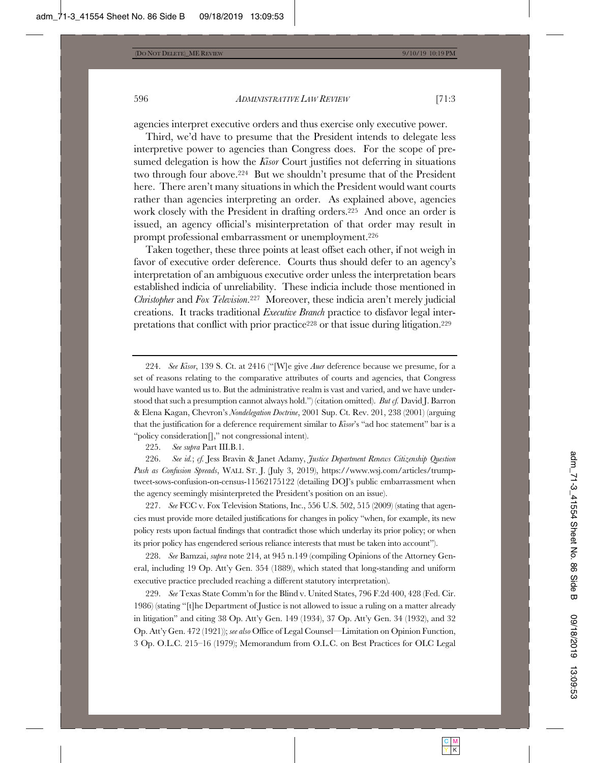agencies interpret executive orders and thus exercise only executive power.

Third, we'd have to presume that the President intends to delegate less interpretive power to agencies than Congress does. For the scope of presumed delegation is how the *Kisor* Court justifies not deferring in situations two through four above.224 But we shouldn't presume that of the President here. There aren't many situations in which the President would want courts rather than agencies interpreting an order. As explained above, agencies work closely with the President in drafting orders.225 And once an order is issued, an agency official's misinterpretation of that order may result in prompt professional embarrassment or unemployment.226

Taken together, these three points at least offset each other, if not weigh in favor of executive order deference. Courts thus should defer to an agency's interpretation of an ambiguous executive order unless the interpretation bears established indicia of unreliability. These indicia include those mentioned in *Christopher* and *Fox Television*.227 Moreover, these indicia aren't merely judicial creations. It tracks traditional *Executive Branch* practice to disfavor legal interpretations that conflict with prior practice<sup>228</sup> or that issue during litigation.<sup>229</sup>

225. *See supra* Part III.B.1.

226. *See id.*; *cf.* Jess Bravin & Janet Adamy, *Justice Department Renews Citizenship Question Push as Confusion Spreads*, WALL ST. J. (July 3, 2019), https://www.wsj.com/articles/trumptweet-sows-confusion-on-census-11562175122 (detailing DOJ's public embarrassment when the agency seemingly misinterpreted the President's position on an issue).

227. *See* FCC v. Fox Television Stations, Inc., 556 U.S. 502, 515 (2009) (stating that agencies must provide more detailed justifications for changes in policy "when, for example, its new policy rests upon factual findings that contradict those which underlay its prior policy; or when its prior policy has engendered serious reliance interests that must be taken into account").

228. *See* Bamzai, *supra* note 214, at 945 n.149 (compiling Opinions of the Attorney General, including 19 Op. Att'y Gen. 354 (1889), which stated that long-standing and uniform executive practice precluded reaching a different statutory interpretation).

229. *See* Texas State Comm'n for the Blind v. United States, 796 F.2d 400, 428 (Fed. Cir. 1986) (stating "[t]he Department of Justice is not allowed to issue a ruling on a matter already in litigation" and citing 38 Op. Att'y Gen. 149 (1934), 37 Op. Att'y Gen. 34 (1932), and 32 Op. Att'y Gen. 472 (1921)); *see also* Office of Legal Counsel—Limitation on Opinion Function, 3 Op. O.L.C. 215–16 (1979); Memorandum from O.L.C. on Best Practices for OLC Legal

<sup>224.</sup> *See Kisor*, 139 S. Ct. at 2416 ("[W]e give *Auer* deference because we presume, for a set of reasons relating to the comparative attributes of courts and agencies, that Congress would have wanted us to. But the administrative realm is vast and varied, and we have understood that such a presumption cannot always hold.") (citation omitted). *But cf.* David J. Barron & Elena Kagan, Chevron's *Nondelegation Doctrine*, 2001 Sup. Ct. Rev. 201, 238 (2001) (arguing that the justification for a deference requirement similar to *Kisor*'s "ad hoc statement" bar is a "policy consideration[]," not congressional intent).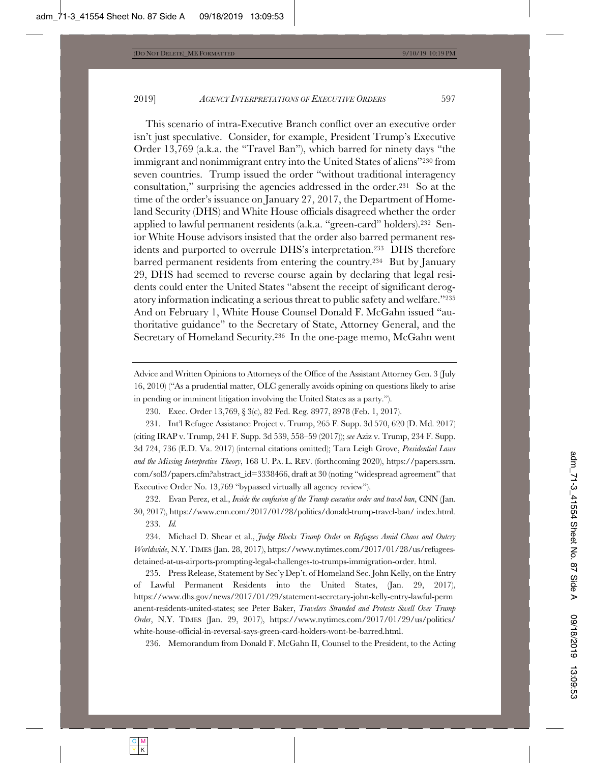This scenario of intra-Executive Branch conflict over an executive order isn't just speculative. Consider, for example, President Trump's Executive Order 13,769 (a.k.a. the "Travel Ban"), which barred for ninety days "the immigrant and nonimmigrant entry into the United States of aliens"230 from seven countries. Trump issued the order "without traditional interagency consultation," surprising the agencies addressed in the order.231 So at the time of the order's issuance on January 27, 2017, the Department of Homeland Security (DHS) and White House officials disagreed whether the order applied to lawful permanent residents (a.k.a. "green-card" holders).232 Senior White House advisors insisted that the order also barred permanent residents and purported to overrule DHS's interpretation.233 DHS therefore barred permanent residents from entering the country.234 But by January 29, DHS had seemed to reverse course again by declaring that legal residents could enter the United States "absent the receipt of significant derogatory information indicating a serious threat to public safety and welfare."235 And on February 1, White House Counsel Donald F. McGahn issued "authoritative guidance" to the Secretary of State, Attorney General, and the Secretary of Homeland Security.236 In the one-page memo, McGahn went

Advice and Written Opinions to Attorneys of the Office of the Assistant Attorney Gen. 3 (July 16, 2010) ("As a prudential matter, OLC generally avoids opining on questions likely to arise in pending or imminent litigation involving the United States as a party.").

230. Exec. Order 13,769, § 3(c), 82 Fed. Reg. 8977, 8978 (Feb. 1, 2017).

231. Int'l Refugee Assistance Project v. Trump, 265 F. Supp. 3d 570, 620 (D. Md. 2017) (citing IRAP v. Trump, 241 F. Supp. 3d 539, 558–59 (2017)); *see* Aziz v. Trump, 234 F. Supp. 3d 724, 736 (E.D. Va. 2017) (internal citations omitted); Tara Leigh Grove, *Presidential Laws and the Missing Interpretive Theory*, 168 U. PA. L. REV. (forthcoming 2020), https://papers.ssrn. com/sol3/papers.cfm?abstract\_id=3338466, draft at 30 (noting "widespread agreement" that Executive Order No. 13,769 "bypassed virtually all agency review").

232. Evan Perez, et al., *Inside the confusion of the Trump executive order and travel ban*, CNN (Jan. 30, 2017), https://www.cnn.com/2017/01/28/politics/donald-trump-travel-ban/ index.html.

233. *Id.*

234. Michael D. Shear et al., *Judge Blocks Trump Order on Refugees Amid Chaos and Outcry Worldwide*, N.Y.TIMES (Jan. 28, 2017), https://www.nytimes.com/2017/01/28/us/refugeesdetained-at-us-airports-prompting-legal-challenges-to-trumps-immigration-order. html.

235. Press Release, Statement by Sec'y Dep't. of Homeland Sec. John Kelly, on the Entry of Lawful Permanent Residents into the United States, (Jan. 29, 2017), https://www.dhs.gov/news/2017/01/29/statement-secretary-john-kelly-entry-lawful-perm anent-residents-united-states; see Peter Baker, *Travelers Stranded and Protests Swell Over Trump Order*, N.Y. TIMES (Jan. 29, 2017), https://www.nytimes.com/2017/01/29/us/politics/ white-house-official-in-reversal-says-green-card-holders-wont-be-barred.html.

236. Memorandum from Donald F. McGahn II, Counsel to the President, to the Acting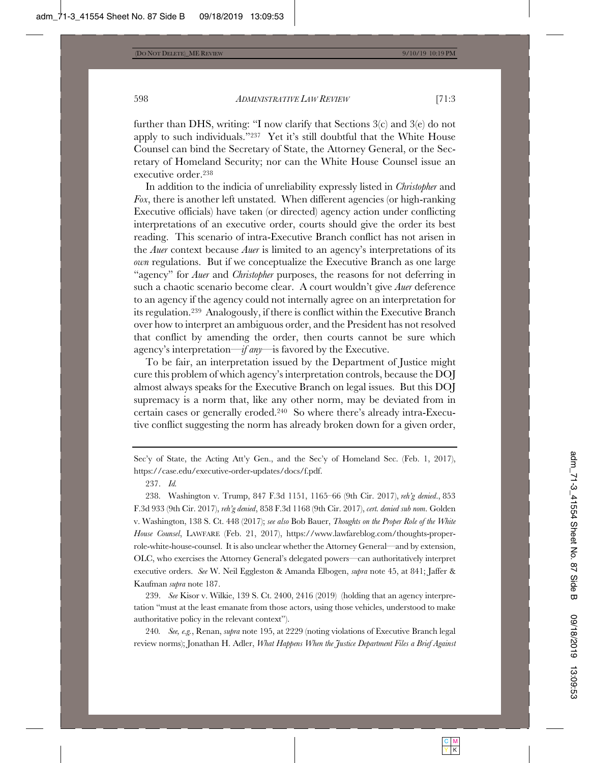further than DHS, writing: "I now clarify that Sections 3(c) and 3(e) do not apply to such individuals."237 Yet it's still doubtful that the White House Counsel can bind the Secretary of State, the Attorney General, or the Secretary of Homeland Security; nor can the White House Counsel issue an executive order.238

In addition to the indicia of unreliability expressly listed in *Christopher* and *Fox*, there is another left unstated. When different agencies (or high-ranking Executive officials) have taken (or directed) agency action under conflicting interpretations of an executive order, courts should give the order its best reading. This scenario of intra-Executive Branch conflict has not arisen in the *Auer* context because *Auer* is limited to an agency's interpretations of its *own* regulations. But if we conceptualize the Executive Branch as one large "agency" for *Auer* and *Christopher* purposes, the reasons for not deferring in such a chaotic scenario become clear. A court wouldn't give *Auer* deference to an agency if the agency could not internally agree on an interpretation for its regulation.239 Analogously, if there is conflict within the Executive Branch over how to interpret an ambiguous order, and the President has not resolved that conflict by amending the order, then courts cannot be sure which agency's interpretation—*if any*—is favored by the Executive.

To be fair, an interpretation issued by the Department of Justice might cure this problem of which agency's interpretation controls, because the DOJ almost always speaks for the Executive Branch on legal issues. But this DOJ supremacy is a norm that, like any other norm, may be deviated from in certain cases or generally eroded.240 So where there's already intra-Executive conflict suggesting the norm has already broken down for a given order,

Sec'y of State, the Acting Att'y Gen., and the Sec'y of Homeland Sec. (Feb. 1, 2017), https://case.edu/executive-order-updates/docs/f.pdf.

237. *Id.*

238. Washington v. Trump, 847 F.3d 1151, 1165–66 (9th Cir. 2017), *reh'g denied*., 853 F.3d 933 (9th Cir. 2017), *reh'g denied*, 858 F.3d 1168 (9th Cir. 2017), *cert. denied sub nom*. Golden v. Washington, 138 S. Ct. 448 (2017); *see also* Bob Bauer, *Thoughts on the Proper Role of the White House Counsel*, LAWFARE (Feb. 21, 2017), https://www.lawfareblog.com/thoughts-properrole-white-house-counsel. It is also unclear whether the Attorney General—and by extension, OLC, who exercises the Attorney General's delegated powers—can authoritatively interpret executive orders. *See* W. Neil Eggleston & Amanda Elbogen, *supra* note 45, at 841; Jaffer & Kaufman *supra* note 187.

239. *See* Kisor v. Wilkie, 139 S. Ct. 2400, 2416 (2019) (holding that an agency interpretation "must at the least emanate from those actors, using those vehicles, understood to make authoritative policy in the relevant context").

240*. See, e.g.*, Renan, *supra* note 195, at 2229 (noting violations of Executive Branch legal review norms); Jonathan H. Adler, *What Happens When the Justice Department Files a Brief Against*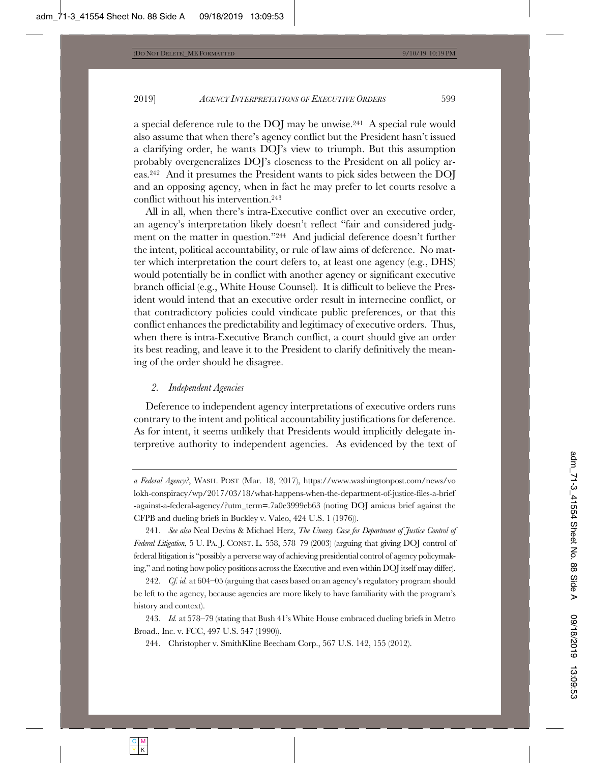a special deference rule to the DOJ may be unwise.241 A special rule would also assume that when there's agency conflict but the President hasn't issued a clarifying order, he wants DOJ's view to triumph. But this assumption probably overgeneralizes DOJ's closeness to the President on all policy areas.242 And it presumes the President wants to pick sides between the DOJ and an opposing agency, when in fact he may prefer to let courts resolve a conflict without his intervention.243

All in all, when there's intra-Executive conflict over an executive order, an agency's interpretation likely doesn't reflect "fair and considered judgment on the matter in question."244 And judicial deference doesn't further the intent, political accountability, or rule of law aims of deference. No matter which interpretation the court defers to, at least one agency (e.g., DHS) would potentially be in conflict with another agency or significant executive branch official (e.g., White House Counsel). It is difficult to believe the President would intend that an executive order result in internecine conflict, or that contradictory policies could vindicate public preferences, or that this conflict enhances the predictability and legitimacy of executive orders. Thus, when there is intra-Executive Branch conflict, a court should give an order its best reading, and leave it to the President to clarify definitively the meaning of the order should he disagree.

#### *2. Independent Agencies*

Deference to independent agency interpretations of executive orders runs contrary to the intent and political accountability justifications for deference. As for intent, it seems unlikely that Presidents would implicitly delegate interpretive authority to independent agencies. As evidenced by the text of

241. *See also* Neal Devins & Michael Herz, *The Uneasy Case for Department of Justice Control of Federal Litigation*, 5 U. PA. J. CONST. L. 558, 578–79 (2003) (arguing that giving DOJ control of federal litigation is "possibly a perverse way of achieving presidential control of agency policymaking," and noting how policy positions across the Executive and even within DOJ itself may differ).

242. *Cf. id.* at 604–05 (arguing that cases based on an agency's regulatory program should be left to the agency, because agencies are more likely to have familiarity with the program's history and context).

243. *Id.* at 578–79 (stating that Bush 41's White House embraced dueling briefs in Metro Broad., Inc. v. FCC, 497 U.S. 547 (1990)).

244. Christopher v. SmithKline Beecham Corp., 567 U.S. 142, 155 (2012).

*a Federal Agency?*, WASH. POST (Mar. 18, 2017), https://www.washingtonpost.com/news/vo lokh-conspiracy/wp/2017/03/18/what-happens-when-the-department-of-justice-files-a-brief -against-a-federal-agency/?utm\_term=.7a0e3999eb63 (noting DOJ amicus brief against the CFPB and dueling briefs in Buckley v. Valeo, 424 U.S. 1 (1976)).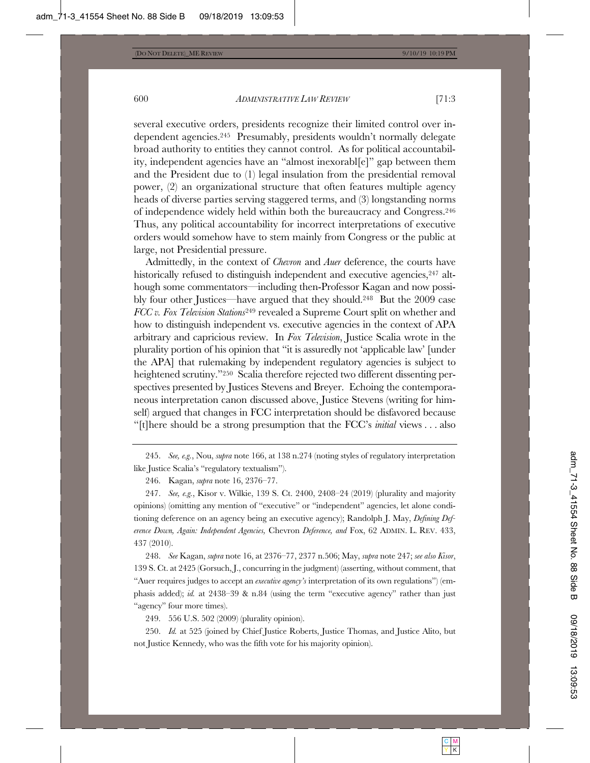several executive orders, presidents recognize their limited control over independent agencies.245 Presumably, presidents wouldn't normally delegate broad authority to entities they cannot control. As for political accountability, independent agencies have an "almost inexorabl[e]" gap between them and the President due to (1) legal insulation from the presidential removal power, (2) an organizational structure that often features multiple agency heads of diverse parties serving staggered terms, and (3) longstanding norms of independence widely held within both the bureaucracy and Congress.246 Thus, any political accountability for incorrect interpretations of executive orders would somehow have to stem mainly from Congress or the public at large, not Presidential pressure.

Admittedly, in the context of *Chevron* and *Auer* deference, the courts have historically refused to distinguish independent and executive agencies,  $247$  although some commentators—including then-Professor Kagan and now possibly four other Justices—have argued that they should.248 But the 2009 case *FCC v. Fox Television Stations*249 revealed a Supreme Court split on whether and how to distinguish independent vs. executive agencies in the context of APA arbitrary and capricious review. In *Fox Television*, Justice Scalia wrote in the plurality portion of his opinion that "it is assuredly not 'applicable law' [under the APA] that rulemaking by independent regulatory agencies is subject to heightened scrutiny."<sup>250</sup> Scalia therefore rejected two different dissenting perspectives presented by Justices Stevens and Breyer. Echoing the contemporaneous interpretation canon discussed above, Justice Stevens (writing for himself) argued that changes in FCC interpretation should be disfavored because "[t]here should be a strong presumption that the FCC's *initial* views . . . also

245. *See, e.g.*, Nou, *supra* note 166, at 138 n.274 (noting styles of regulatory interpretation like Justice Scalia's "regulatory textualism").

247. *See, e.g.*, Kisor v. Wilkie, 139 S. Ct. 2400, 2408–24 (2019) (plurality and majority opinions) (omitting any mention of "executive" or "independent" agencies, let alone conditioning deference on an agency being an executive agency); Randolph J. May, *Defining Deference Down, Again: Independent Agencies,* Chevron *Deference, and* Fox, 62 ADMIN. L. REV. 433, 437 (2010).

248. *See* Kagan, *supra* note 16, at 2376–77, 2377 n.506; May, *supra* note 247; *see also Kisor*, 139 S. Ct. at 2425 (Gorsuch, J., concurring in the judgment) (asserting, without comment, that "Auer requires judges to accept an *executive agency's* interpretation of its own regulations") (emphasis added); *id.* at 2438–39 & n.84 (using the term "executive agency" rather than just "agency" four more times).

249. 556 U.S. 502 (2009) (plurality opinion).

250. *Id.* at 525 (joined by Chief Justice Roberts, Justice Thomas, and Justice Alito, but not Justice Kennedy, who was the fifth vote for his majority opinion).

<sup>246.</sup> Kagan, *supra* note 16, 2376–77.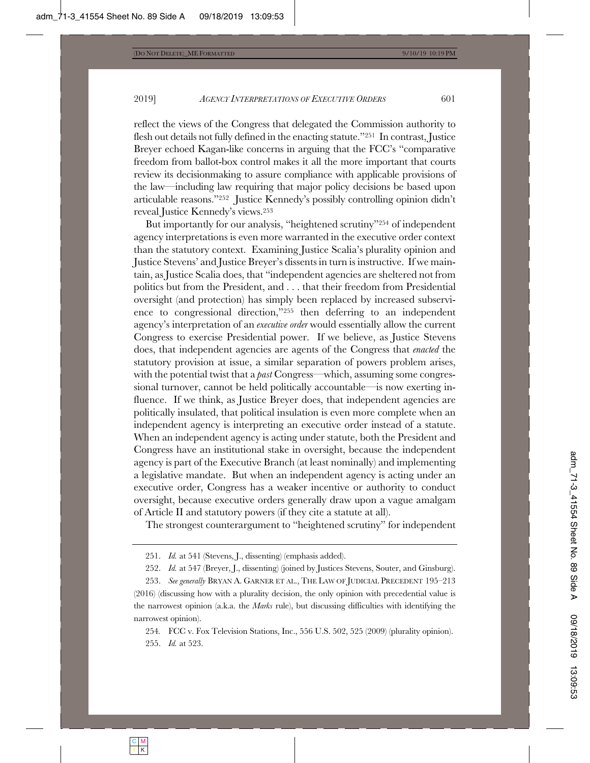reflect the views of the Congress that delegated the Commission authority to flesh out details not fully defined in the enacting statute."251 In contrast, Justice Breyer echoed Kagan-like concerns in arguing that the FCC's "comparative freedom from ballot-box control makes it all the more important that courts review its decisionmaking to assure compliance with applicable provisions of the law—including law requiring that major policy decisions be based upon articulable reasons."252 Justice Kennedy's possibly controlling opinion didn't reveal Justice Kennedy's views.253

But importantly for our analysis, "heightened scrutiny"254 of independent agency interpretations is even more warranted in the executive order context than the statutory context. Examining Justice Scalia's plurality opinion and Justice Stevens' and Justice Breyer's dissents in turn is instructive. If we maintain, as Justice Scalia does, that "independent agencies are sheltered not from politics but from the President, and . . . that their freedom from Presidential oversight (and protection) has simply been replaced by increased subservience to congressional direction,"255 then deferring to an independent agency's interpretation of an *executive order* would essentially allow the current Congress to exercise Presidential power. If we believe, as Justice Stevens does, that independent agencies are agents of the Congress that *enacted* the statutory provision at issue, a similar separation of powers problem arises, with the potential twist that a *past* Congress—which, assuming some congressional turnover, cannot be held politically accountable—is now exerting influence. If we think, as Justice Breyer does, that independent agencies are politically insulated, that political insulation is even more complete when an independent agency is interpreting an executive order instead of a statute. When an independent agency is acting under statute, both the President and Congress have an institutional stake in oversight, because the independent agency is part of the Executive Branch (at least nominally) and implementing a legislative mandate. But when an independent agency is acting under an executive order, Congress has a weaker incentive or authority to conduct oversight, because executive orders generally draw upon a vague amalgam of Article II and statutory powers (if they cite a statute at all).

The strongest counterargument to "heightened scrutiny" for independent

<sup>251.</sup> *Id.* at 541 (Stevens, J., dissenting) (emphasis added).

<sup>252.</sup> *Id.* at 547 (Breyer, J., dissenting) (joined by Justices Stevens, Souter, and Ginsburg).

<sup>253.</sup> *See generally* BRYAN A. GARNER ET AL., THE LAW OF JUDICIAL PRECEDENT 195–213 (2016) (discussing how with a plurality decision, the only opinion with precedential value is the narrowest opinion (a.k.a. the *Marks* rule), but discussing difficulties with identifying the narrowest opinion).

<sup>254</sup>*.* FCC v. Fox Television Stations, Inc., 556 U.S. 502, 525 (2009) (plurality opinion). 255. *Id.* at 523.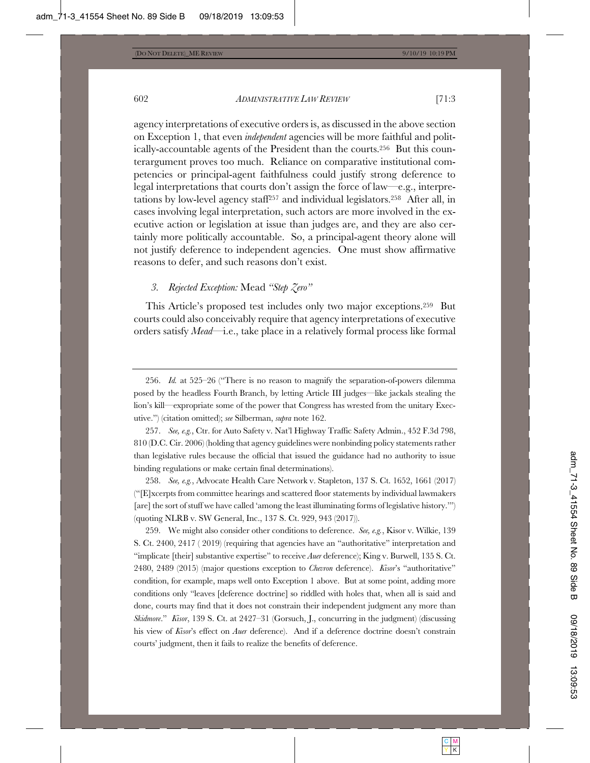agency interpretations of executive orders is, as discussed in the above section on Exception 1, that even *independent* agencies will be more faithful and politically-accountable agents of the President than the courts.256 But this counterargument proves too much. Reliance on comparative institutional competencies or principal-agent faithfulness could justify strong deference to legal interpretations that courts don't assign the force of law—e.g., interpretations by low-level agency staff257 and individual legislators.258 After all, in cases involving legal interpretation, such actors are more involved in the executive action or legislation at issue than judges are, and they are also certainly more politically accountable. So, a principal-agent theory alone will not justify deference to independent agencies. One must show affirmative reasons to defer, and such reasons don't exist.

# *3. Rejected Exception:* Mead *"Step Zero"*

This Article's proposed test includes only two major exceptions.259 But courts could also conceivably require that agency interpretations of executive orders satisfy *Mead*—i.e., take place in a relatively formal process like formal

256. *Id.* at 525–26 ("There is no reason to magnify the separation-of-powers dilemma posed by the headless Fourth Branch, by letting Article III judges—like jackals stealing the lion's kill—expropriate some of the power that Congress has wrested from the unitary Executive.") (citation omitted); *see* Silberman, *supra* note 162.

257. *See, e.g.*, Ctr. for Auto Safety v. Nat'l Highway Traffic Safety Admin., 452 F.3d 798, 810 (D.C. Cir. 2006) (holding that agency guidelines were nonbinding policy statements rather than legislative rules because the official that issued the guidance had no authority to issue binding regulations or make certain final determinations).

258. *See, e.g.*, Advocate Health Care Network v. Stapleton, 137 S. Ct. 1652, 1661 (2017) ("[E]xcerpts from committee hearings and scattered floor statements by individual lawmakers [are] the sort of stuff we have called 'among the least illuminating forms of legislative history.'") (quoting NLRB v. SW General, Inc., 137 S. Ct. 929, 943 (2017)).

259. We might also consider other conditions to deference. *See, e.g.*, Kisor v. Wilkie, 139 S. Ct. 2400, 2417 ( 2019) (requiring that agencies have an "authoritative" interpretation and "implicate [their] substantive expertise" to receive *Auer* deference); King v. Burwell, 135 S. Ct. 2480, 2489 (2015) (major questions exception to *Chevron* deference). *Kisor*'s "authoritative" condition, for example, maps well onto Exception 1 above. But at some point, adding more conditions only "leaves [deference doctrine] so riddled with holes that, when all is said and done, courts may find that it does not constrain their independent judgment any more than *Skidmore*." *Kisor*, 139 S. Ct. at 2427–31 (Gorsuch, J., concurring in the judgment) (discussing his view of *Kisor*'s effect on *Auer* deference). And if a deference doctrine doesn't constrain courts' judgment, then it fails to realize the benefits of deference.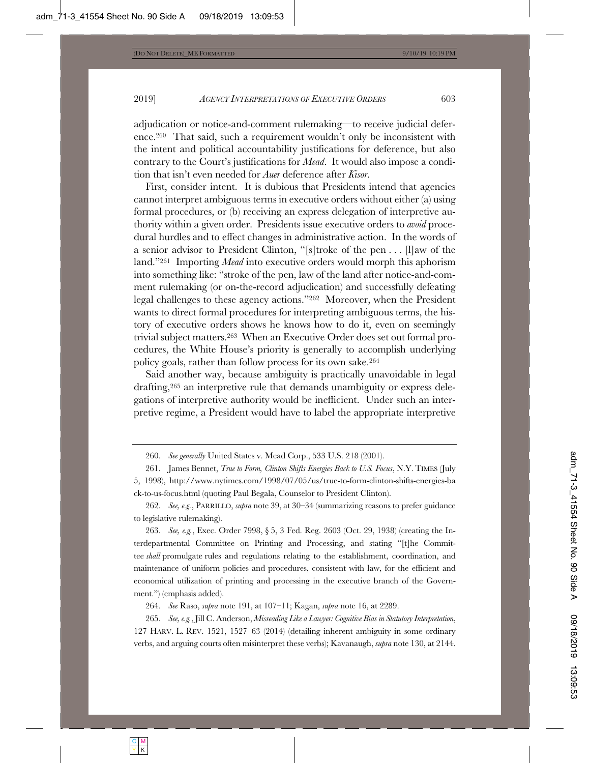adjudication or notice-and-comment rulemaking—to receive judicial deference.260 That said, such a requirement wouldn't only be inconsistent with the intent and political accountability justifications for deference, but also contrary to the Court's justifications for *Mead*. It would also impose a condition that isn't even needed for *Auer* deference after *Kisor*.

First, consider intent. It is dubious that Presidents intend that agencies cannot interpret ambiguous terms in executive orders without either (a) using formal procedures, or (b) receiving an express delegation of interpretive authority within a given order. Presidents issue executive orders to *avoid* procedural hurdles and to effect changes in administrative action. In the words of a senior advisor to President Clinton, "[s]troke of the pen . . . [l]aw of the land."261 Importing *Mead* into executive orders would morph this aphorism into something like: "stroke of the pen, law of the land after notice-and-comment rulemaking (or on-the-record adjudication) and successfully defeating legal challenges to these agency actions."262 Moreover, when the President wants to direct formal procedures for interpreting ambiguous terms, the history of executive orders shows he knows how to do it, even on seemingly trivial subject matters.263 When an Executive Order does set out formal procedures, the White House's priority is generally to accomplish underlying policy goals, rather than follow process for its own sake.264

Said another way, because ambiguity is practically unavoidable in legal drafting,265 an interpretive rule that demands unambiguity or express delegations of interpretive authority would be inefficient. Under such an interpretive regime, a President would have to label the appropriate interpretive

264. *See* Raso, *supra* note 191, at 107–11; Kagan, *supra* note 16, at 2289.

265. *See, e.g.*, Jill C. Anderson, *Misreading Like a Lawyer: Cognitive Bias in Statutory Interpretation*, 127 HARV. L. REV. 1521, 1527–63 (2014) (detailing inherent ambiguity in some ordinary verbs, and arguing courts often misinterpret these verbs); Kavanaugh, *supra* note 130, at 2144.

<sup>260.</sup> *See generally* United States v. Mead Corp., 533 U.S. 218 (2001).

<sup>261.</sup> James Bennet, *True to Form, Clinton Shifts Energies Back to U.S. Focus*, N.Y. TIMES (July 5, 1998), http://www.nytimes.com/1998/07/05/us/true-to-form-clinton-shifts-energies-ba ck-to-us-focus.html (quoting Paul Begala, Counselor to President Clinton).

<sup>262.</sup> *See, e.g.*, PARRILLO, *supra* note 39, at 30–34 (summarizing reasons to prefer guidance to legislative rulemaking).

<sup>263.</sup> *See, e.g.*, Exec. Order 7998, § 5, 3 Fed. Reg. 2603 (Oct. 29, 1938) (creating the Interdepartmental Committee on Printing and Processing, and stating "[t]he Committee *shall* promulgate rules and regulations relating to the establishment, coordination, and maintenance of uniform policies and procedures, consistent with law, for the efficient and economical utilization of printing and processing in the executive branch of the Government.") (emphasis added).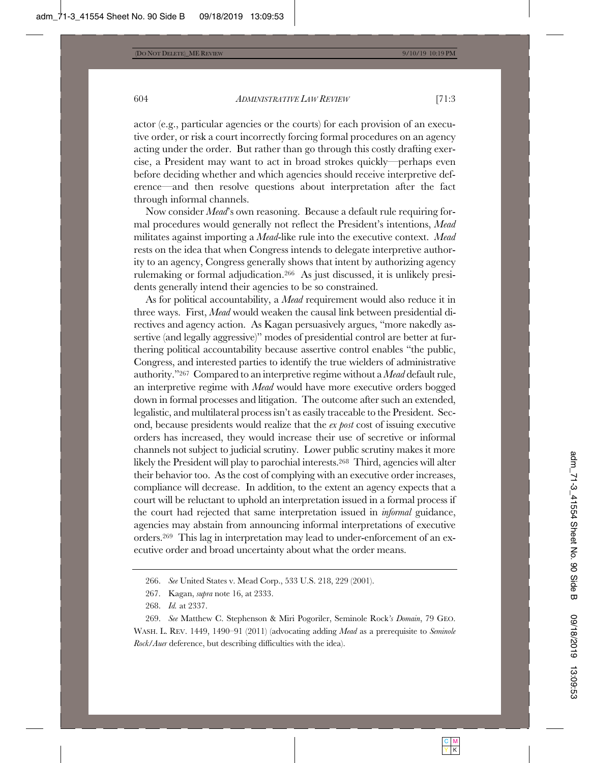actor (e.g., particular agencies or the courts) for each provision of an executive order, or risk a court incorrectly forcing formal procedures on an agency acting under the order. But rather than go through this costly drafting exercise, a President may want to act in broad strokes quickly—perhaps even before deciding whether and which agencies should receive interpretive deference—and then resolve questions about interpretation after the fact through informal channels.

Now consider *Mead*'s own reasoning. Because a default rule requiring formal procedures would generally not reflect the President's intentions, *Mead* militates against importing a *Mead*-like rule into the executive context. *Mead* rests on the idea that when Congress intends to delegate interpretive authority to an agency, Congress generally shows that intent by authorizing agency rulemaking or formal adjudication.266 As just discussed, it is unlikely presidents generally intend their agencies to be so constrained.

As for political accountability, a *Mead* requirement would also reduce it in three ways. First, *Mead* would weaken the causal link between presidential directives and agency action. As Kagan persuasively argues, "more nakedly assertive (and legally aggressive)" modes of presidential control are better at furthering political accountability because assertive control enables "the public, Congress, and interested parties to identify the true wielders of administrative authority."267 Compared to an interpretive regime without a *Mead* default rule, an interpretive regime with *Mead* would have more executive orders bogged down in formal processes and litigation. The outcome after such an extended, legalistic, and multilateral process isn't as easily traceable to the President. Second, because presidents would realize that the *ex post* cost of issuing executive orders has increased, they would increase their use of secretive or informal channels not subject to judicial scrutiny. Lower public scrutiny makes it more likely the President will play to parochial interests.268 Third, agencies will alter their behavior too. As the cost of complying with an executive order increases, compliance will decrease. In addition, to the extent an agency expects that a court will be reluctant to uphold an interpretation issued in a formal process if the court had rejected that same interpretation issued in *informal* guidance, agencies may abstain from announcing informal interpretations of executive orders.269 This lag in interpretation may lead to under-enforcement of an executive order and broad uncertainty about what the order means.

<sup>266.</sup> *See* United States v. Mead Corp., 533 U.S. 218, 229 (2001).

<sup>267.</sup> Kagan, *supra* note 16, at 2333.

<sup>268.</sup> *Id.* at 2337.

<sup>269.</sup> *See* Matthew C. Stephenson & Miri Pogoriler, Seminole Rock*'s Domain*, 79 GEO. WASH. L. REV. 1449, 1490–91 (2011) (advocating adding *Mead* as a prerequisite to *Seminole Rock*/*Auer* deference, but describing difficulties with the idea).